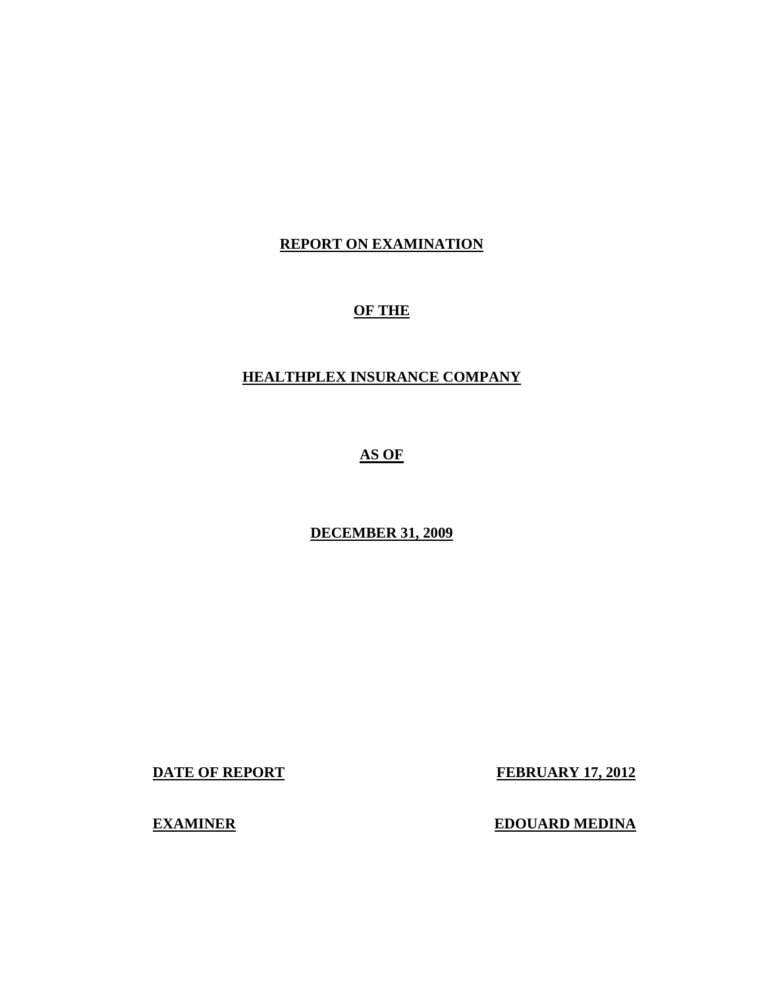#### **REPORT ON EXAMINATION**

#### **OF THE**

#### **HEALTHPLEX INSURANCE COMPANY**

**AS OF** 

**DECEMBER 31, 2009** 

**DATE OF REPORT FEBRUARY 17, 2012** 

**EXAMINER EDOUARD MEDINA**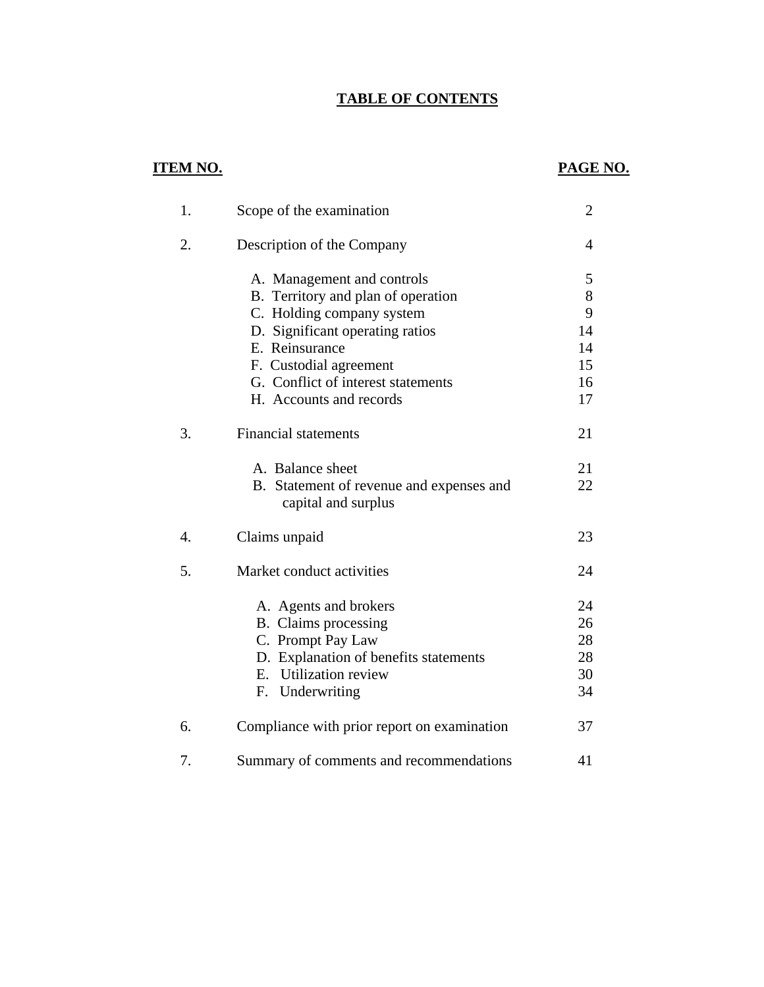## **TABLE OF CONTENTS**

## **ITEM NO.**

## **PAGE NO.**

| 1.               | Scope of the examination                                        | $\overline{2}$ |
|------------------|-----------------------------------------------------------------|----------------|
| 2.               | Description of the Company                                      | 4              |
|                  | A. Management and controls                                      | 5              |
|                  | B. Territory and plan of operation                              | $8\,$          |
|                  | C. Holding company system                                       | 9              |
|                  | D. Significant operating ratios                                 | 14             |
|                  | E. Reinsurance                                                  | 14             |
|                  | F. Custodial agreement                                          | 15             |
|                  | G. Conflict of interest statements                              | 16             |
|                  | H. Accounts and records                                         | 17             |
| 3.               | <b>Financial statements</b>                                     | 21             |
|                  | A. Balance sheet                                                | 21             |
|                  | B. Statement of revenue and expenses and<br>capital and surplus | 22             |
| $\overline{4}$ . | Claims unpaid                                                   | 23             |
| 5.               | Market conduct activities                                       | 24             |
|                  | A. Agents and brokers                                           | 24             |
|                  | B. Claims processing                                            | 26             |
|                  | C. Prompt Pay Law                                               | 28             |
|                  | D. Explanation of benefits statements                           | 28             |
|                  | E. Utilization review                                           | 30             |
|                  | F. Underwriting                                                 | 34             |
| 6.               | Compliance with prior report on examination                     | 37             |
| 7.               | Summary of comments and recommendations                         | 41             |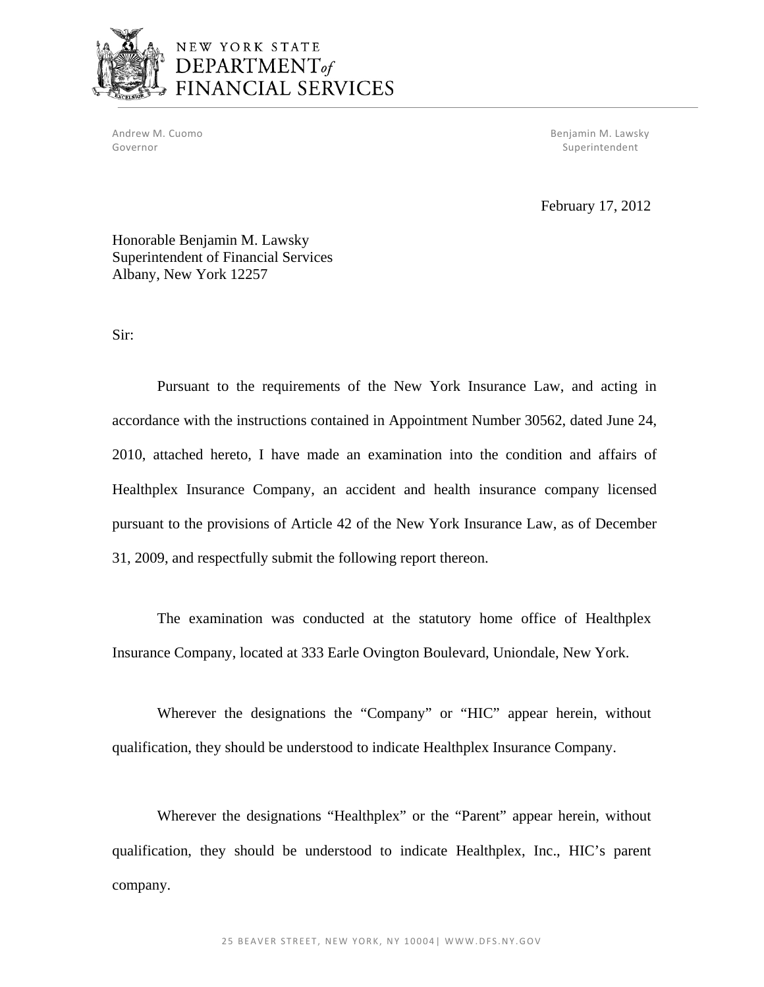

# NEW YORK STATE DEPARTMENT<sub>of</sub><br>FINANCIAL SERVICES

Governor Superintendent Superintendent Superintendent Superintendent Superintendent Superintendent Superintendent

Andrew M. Cuomo Benjamin M. Lawsky

February 17, 2012

Honorable Benjamin M. Lawsky Superintendent of Financial Services Albany, New York 12257

Sir:

Pursuant to the requirements of the New York Insurance Law, and acting in accordance with the instructions contained in Appointment Number 30562, dated June 24, 2010, attached hereto, I have made an examination into the condition and affairs of Healthplex Insurance Company, an accident and health insurance company licensed pursuant to the provisions of Article 42 of the New York Insurance Law, as of December 31, 2009, and respectfully submit the following report thereon.

The examination was conducted at the statutory home office of Healthplex Insurance Company, located at 333 Earle Ovington Boulevard, Uniondale, New York.

Wherever the designations the "Company" or "HIC" appear herein, without qualification, they should be understood to indicate Healthplex Insurance Company.

Wherever the designations "Healthplex" or the "Parent" appear herein, without qualification, they should be understood to indicate Healthplex, Inc., HIC's parent company.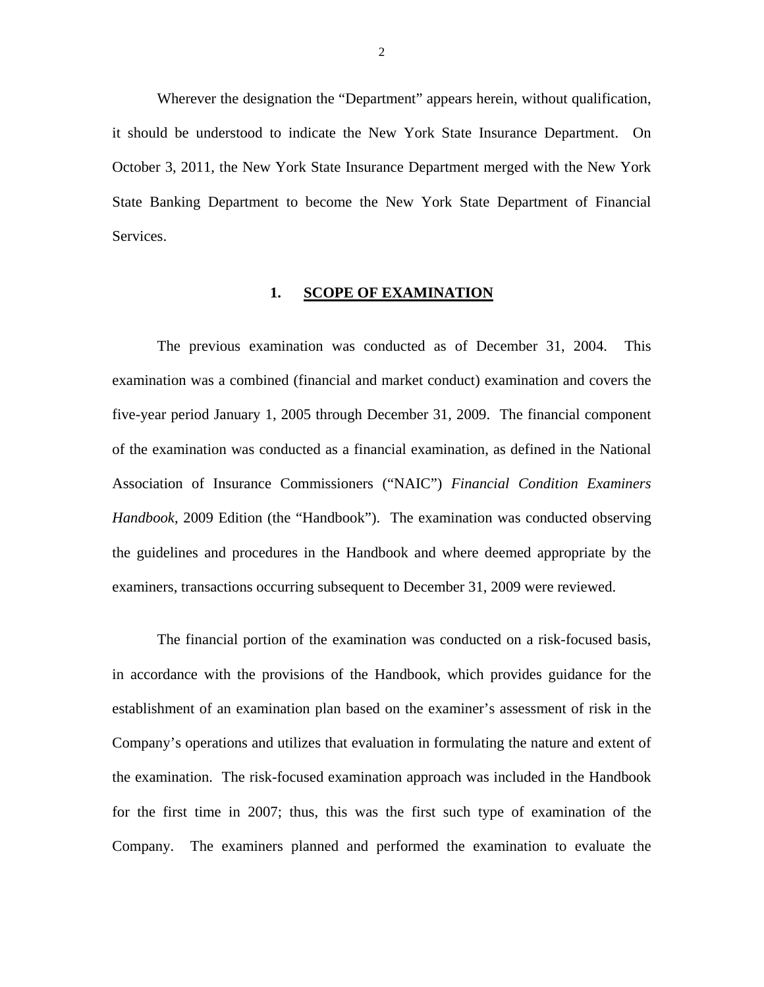<span id="page-3-0"></span>Wherever the designation the "Department" appears herein, without qualification, it should be understood to indicate the New York State Insurance Department. On October 3, 2011, the New York State Insurance Department merged with the New York State Banking Department to become the New York State Department of Financial Services.

#### 1. **SCOPE OF EXAMINATION**

The previous examination was conducted as of December 31, 2004. This examination was a combined (financial and market conduct) examination and covers the five-year period January 1, 2005 through December 31, 2009. The financial component of the examination was conducted as a financial examination, as defined in the National Association of Insurance Commissioners ("NAIC") *Financial Condition Examiners Handbook*, 2009 Edition (the "Handbook"). The examination was conducted observing the guidelines and procedures in the Handbook and where deemed appropriate by the examiners, transactions occurring subsequent to December 31, 2009 were reviewed.

The financial portion of the examination was conducted on a risk-focused basis, in accordance with the provisions of the Handbook, which provides guidance for the establishment of an examination plan based on the examiner's assessment of risk in the Company's operations and utilizes that evaluation in formulating the nature and extent of the examination. The risk-focused examination approach was included in the Handbook for the first time in 2007; thus, this was the first such type of examination of the Company. The examiners planned and performed the examination to evaluate the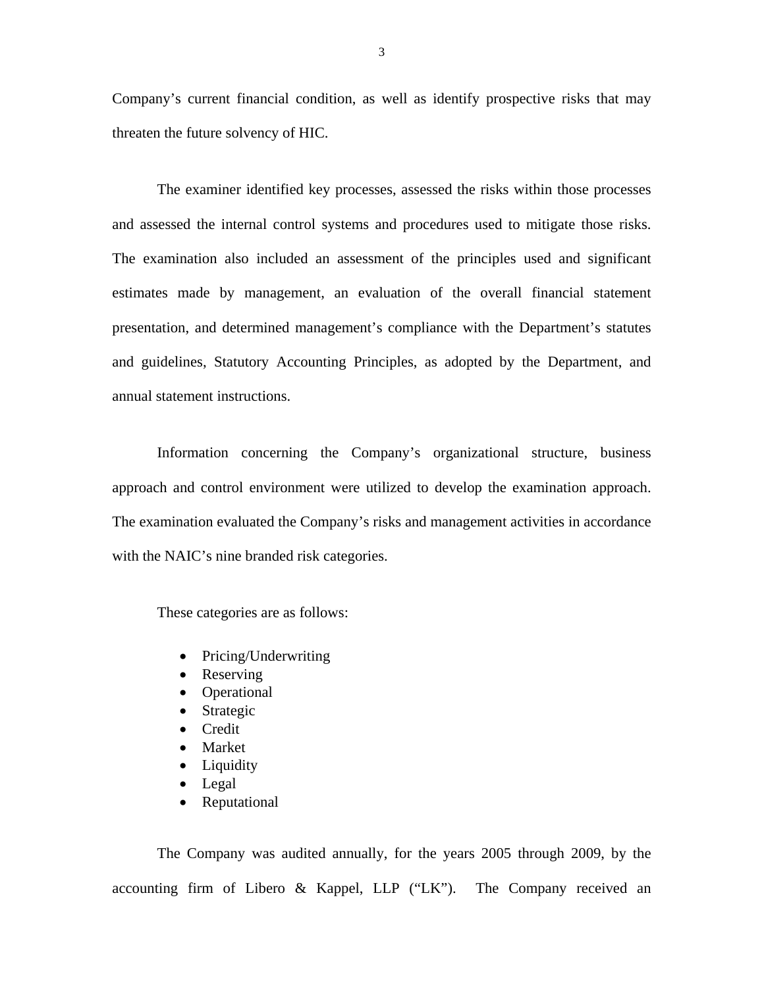Company's current financial condition, as well as identify prospective risks that may threaten the future solvency of HIC.

The examiner identified key processes, assessed the risks within those processes and assessed the internal control systems and procedures used to mitigate those risks. The examination also included an assessment of the principles used and significant estimates made by management, an evaluation of the overall financial statement presentation, and determined management's compliance with the Department's statutes and guidelines, Statutory Accounting Principles, as adopted by the Department, and annual statement instructions.

Information concerning the Company's organizational structure, business approach and control environment were utilized to develop the examination approach. The examination evaluated the Company's risks and management activities in accordance with the NAIC's nine branded risk categories.

These categories are as follows:

- Pricing/Underwriting
- Reserving
- Operational
- Strategic
- Credit
- Market
- Liquidity
- Legal
- Reputational

The Company was audited annually, for the years 2005 through 2009, by the accounting firm of Libero & Kappel, LLP ("LK"). The Company received an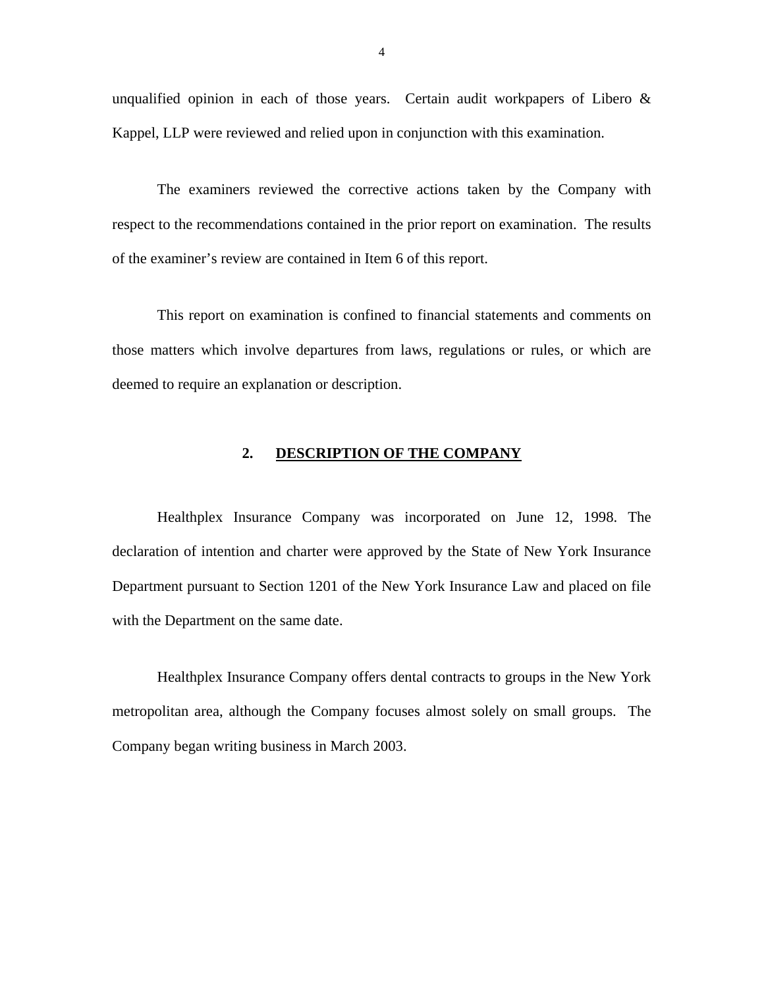<span id="page-5-0"></span>unqualified opinion in each of those years. Certain audit workpapers of Libero & Kappel, LLP were reviewed and relied upon in conjunction with this examination.

The examiners reviewed the corrective actions taken by the Company with respect to the recommendations contained in the prior report on examination. The results of the examiner's review are contained in Item 6 of this report.

This report on examination is confined to financial statements and comments on those matters which involve departures from laws, regulations or rules, or which are deemed to require an explanation or description.

#### **2. DESCRIPTION OF THE COMPANY**

Healthplex Insurance Company was incorporated on June 12, 1998. The declaration of intention and charter were approved by the State of New York Insurance Department pursuant to Section 1201 of the New York Insurance Law and placed on file with the Department on the same date.

Healthplex Insurance Company offers dental contracts to groups in the New York metropolitan area, although the Company focuses almost solely on small groups. The Company began writing business in March 2003.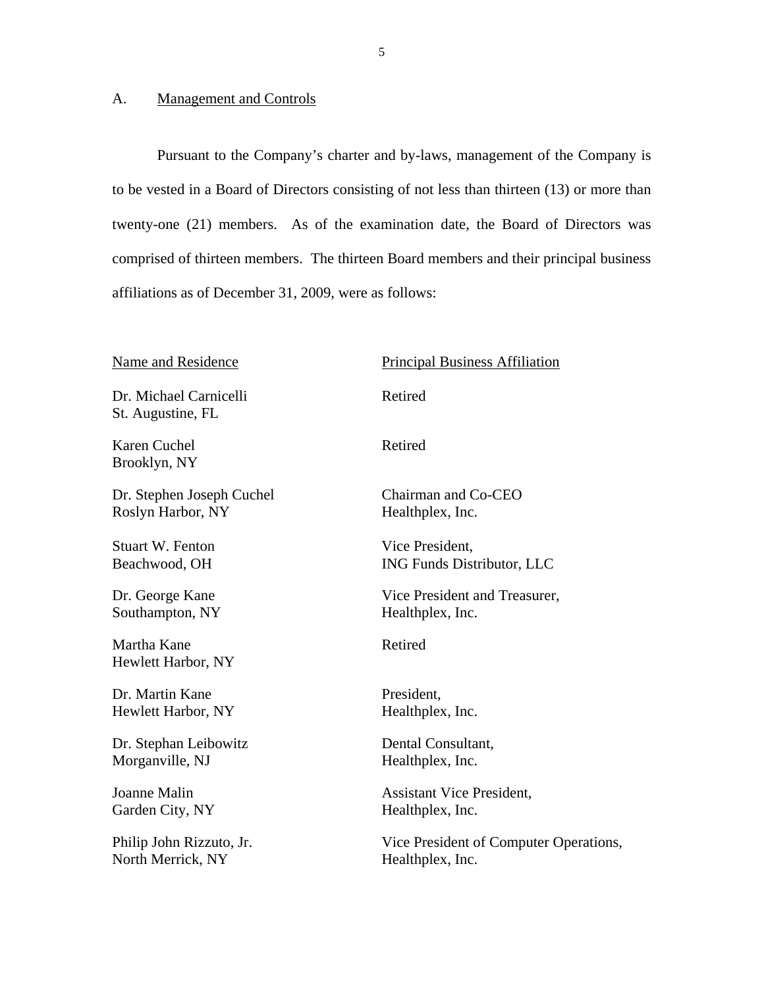#### **Management and Controls**

<span id="page-6-0"></span>A. Management and Controls<br>Pursuant to the Company's charter and by-laws, management of the Company is to be vested in a Board of Directors consisting of not less than thirteen (13) or more than twenty-one (21) members. As of the examination date, the Board of Directors was comprised of thirteen members. The thirteen Board members and their principal business affiliations as of December 31, 2009, were as follows:

Dr. Michael Carnicelli Retired St. Augustine, FL

Karen Cuchel Retired Brooklyn, NY

Dr. Stephen Joseph Cuchel Chairman and Co-CEO Roslyn Harbor, NY Healthplex, Inc.

Stuart W. Fenton Vice President,

Southampton, NY Healthplex, Inc.

Martha Kane **Retired** Hewlett Harbor, NY

Dr. Martin Kane President. Hewlett Harbor, NY Healthplex, Inc.

Dr. Stephan Leibowitz Dental Consultant, Morganville, NJ Healthplex, Inc.

North Merrick, NY Healthplex, Inc.

Name and Residence Principal Business Affiliation

Beachwood, OH ING Funds Distributor, LLC

Dr. George Kane Vice President and Treasurer,

Joanne Malin Assistant Vice President,<br>Garden City, NY Healthplex, Inc.

Philip John Rizzuto, Jr. Vice President of Computer Operations,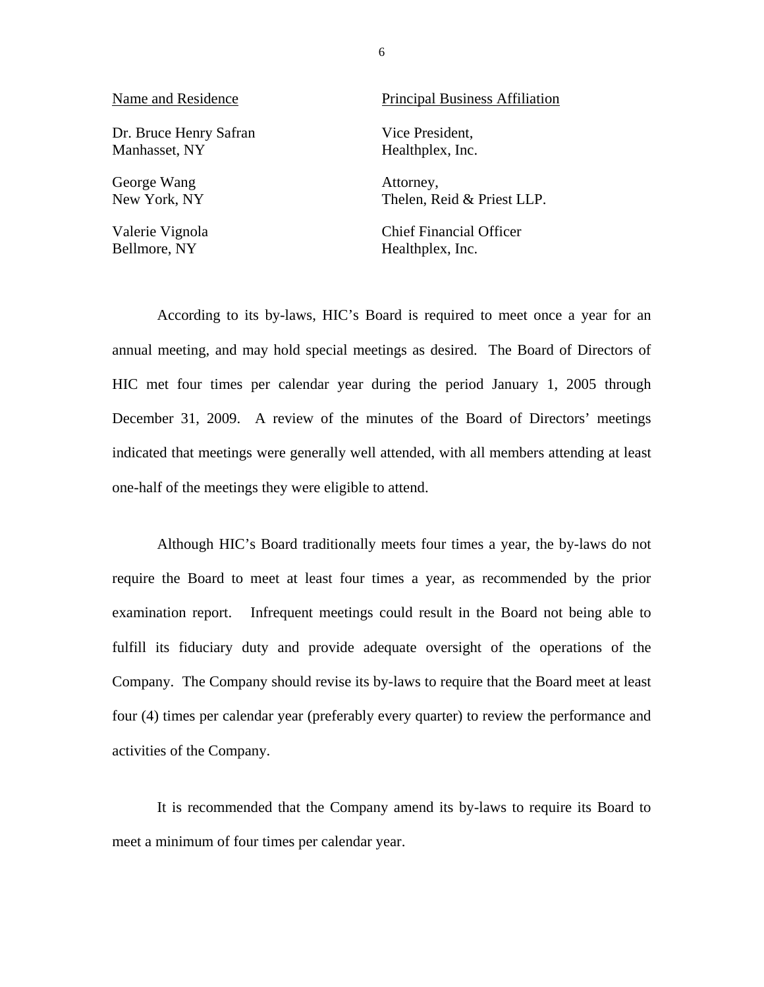| Name and Residence     | <b>Principal Business Affiliation</b> |  |  |
|------------------------|---------------------------------------|--|--|
| Dr. Bruce Henry Safran | Vice President,                       |  |  |
| Manhasset, NY          | Healthplex, Inc.                      |  |  |
| George Wang            | Attorney,                             |  |  |
| New York, NY           | Thelen, Reid & Priest LLP.            |  |  |
| Valerie Vignola        | <b>Chief Financial Officer</b>        |  |  |

Bellmore, NY Healthplex, Inc.

According to its by-laws, HIC's Board is required to meet once a year for an annual meeting, and may hold special meetings as desired. The Board of Directors of HIC met four times per calendar year during the period January 1, 2005 through December 31, 2009. A review of the minutes of the Board of Directors' meetings indicated that meetings were generally well attended, with all members attending at least one-half of the meetings they were eligible to attend.

Although HIC's Board traditionally meets four times a year, the by-laws do not require the Board to meet at least four times a year, as recommended by the prior examination report. Infrequent meetings could result in the Board not being able to fulfill its fiduciary duty and provide adequate oversight of the operations of the Company. The Company should revise its by-laws to require that the Board meet at least four (4) times per calendar year (preferably every quarter) to review the performance and activities of the Company.

It is recommended that the Company amend its by-laws to require its Board to meet a minimum of four times per calendar year.

6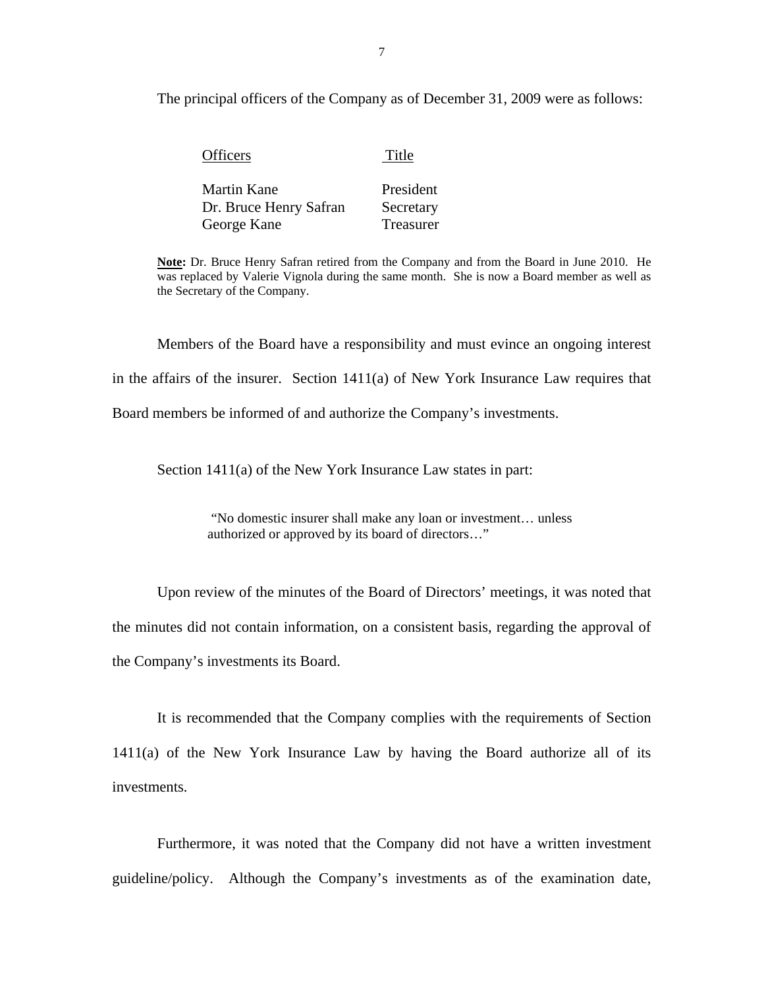The principal officers of the Company as of December 31, 2009 were as follows:

| <b>Officers</b>                       | Title                  |
|---------------------------------------|------------------------|
| Martin Kane<br>Dr. Bruce Henry Safran | President<br>Secretary |
| George Kane                           | Treasurer              |

 was replaced by Valerie Vignola during the same month. She is now a Board member as well as **Note:** Dr. Bruce Henry Safran retired from the Company and from the Board in June 2010. He the Secretary of the Company.

Members of the Board have a responsibility and must evince an ongoing interest in the affairs of the insurer. Section 1411(a) of New York Insurance Law requires that Board members be informed of and authorize the Company's investments.

Section 1411(a) of the New York Insurance Law states in part:

"No domestic insurer shall make any loan or investment… unless authorized or approved by its board of directors…"

Upon review of the minutes of the Board of Directors' meetings, it was noted that the minutes did not contain information, on a consistent basis, regarding the approval of the Company's investments its Board.

It is recommended that the Company complies with the requirements of Section 1411(a) of the New York Insurance Law by having the Board authorize all of its investments.

Furthermore, it was noted that the Company did not have a written investment guideline/policy. Although the Company's investments as of the examination date,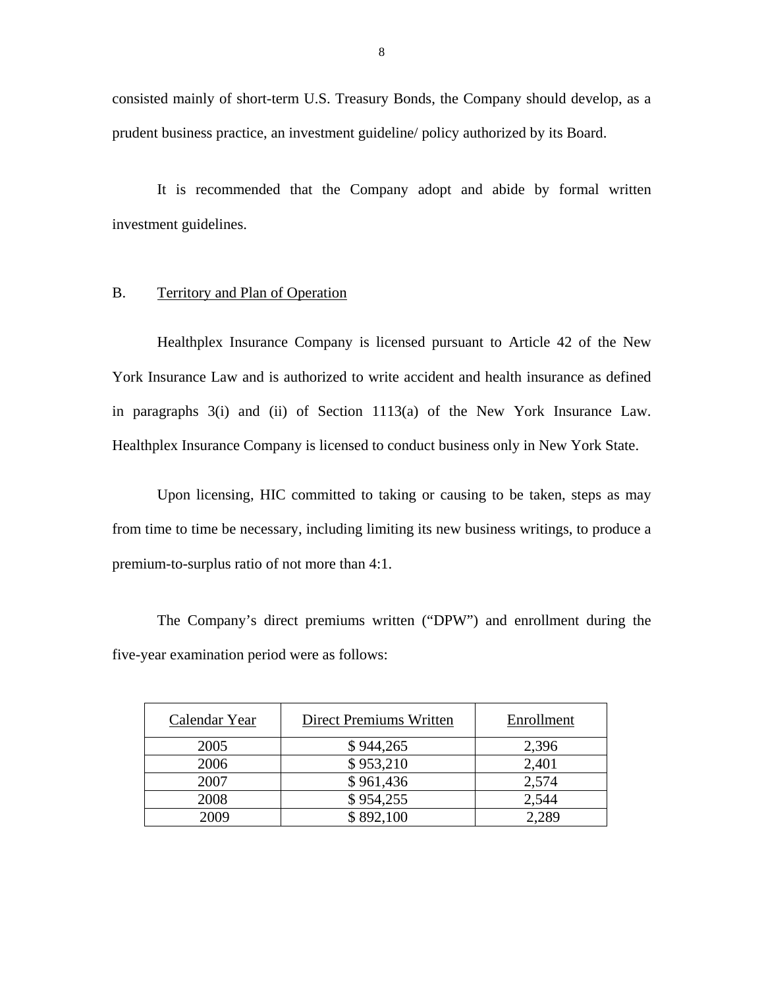consisted mainly of short-term U.S. Treasury Bonds, the Company should develop, as a prudent business practice, an investment guideline/ policy authorized by its Board.

It is recommended that the Company adopt and abide by formal written investment guidelines.

#### B. Territory and Plan of Operation

Healthplex Insurance Company is licensed pursuant to Article 42 of the New York Insurance Law and is authorized to write accident and health insurance as defined in paragraphs 3(i) and (ii) of Section 1113(a) of the New York Insurance Law. Healthplex Insurance Company is licensed to conduct business only in New York State.

Upon licensing, HIC committed to taking or causing to be taken, steps as may from time to time be necessary, including limiting its new business writings, to produce a premium-to-surplus ratio of not more than 4:1.

The Company's direct premiums written ("DPW") and enrollment during the five-year examination period were as follows:

| Calendar Year | Direct Premiums Written | Enrollment |
|---------------|-------------------------|------------|
| 2005          | \$944,265               | 2,396      |
| 2006          | \$953,210               | 2,401      |
| 2007          | \$961,436               | 2,574      |
| 2008          | \$954,255               | 2,544      |
| 2009          | \$892,100               | 2.289      |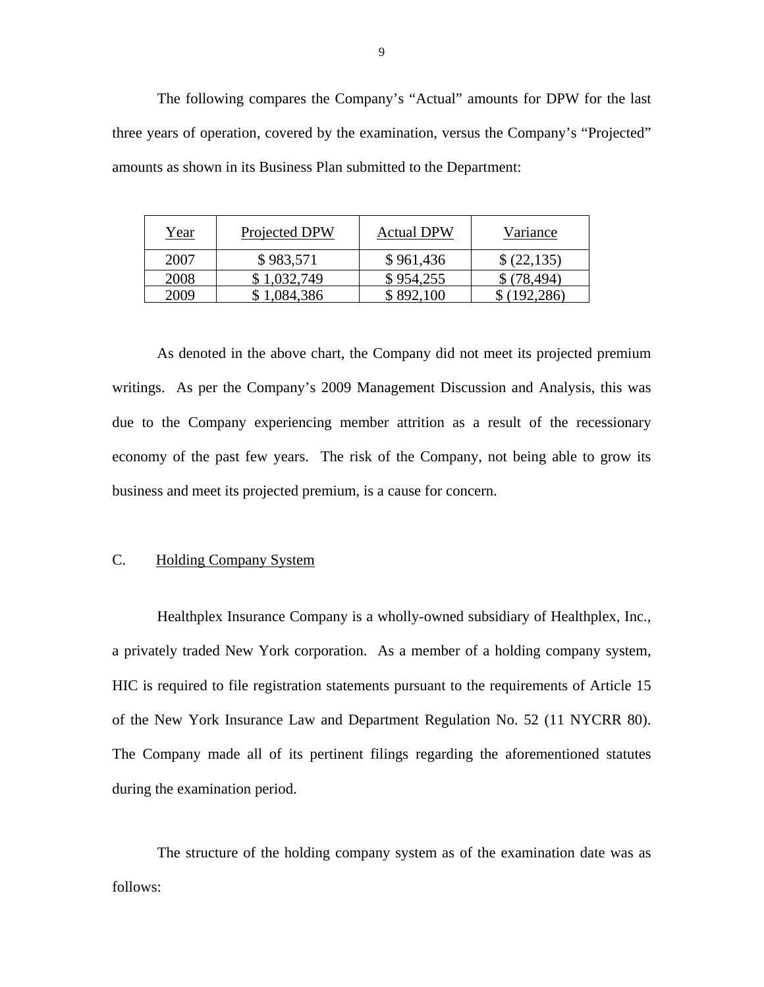The following compares the Company's "Actual" amounts for DPW for the last three years of operation, covered by the examination, versus the Company's "Projected" amounts as shown in its Business Plan submitted to the Department:

| Year | Projected DPW | <b>Actual DPW</b> | Variance    |
|------|---------------|-------------------|-------------|
| 2007 | \$983,571     | \$961,436         | (22, 135)   |
| 2008 | \$1,032,749   | \$954,255         | \$(78, 494) |
| 2009 | .084,386      | \$892,100         |             |

As denoted in the above chart, the Company did not meet its projected premium writings. As per the Company's 2009 Management Discussion and Analysis, this was due to the Company experiencing member attrition as a result of the recessionary economy of the past few years. The risk of the Company, not being able to grow its business and meet its projected premium, is a cause for concern.

#### C. Holding Company System

Healthplex Insurance Company is a wholly-owned subsidiary of Healthplex, Inc., a privately traded New York corporation. As a member of a holding company system, HIC is required to file registration statements pursuant to the requirements of Article 15 of the New York Insurance Law and Department Regulation No. 52 (11 NYCRR 80). The Company made all of its pertinent filings regarding the aforementioned statutes during the examination period.

The structure of the holding company system as of the examination date was as follows: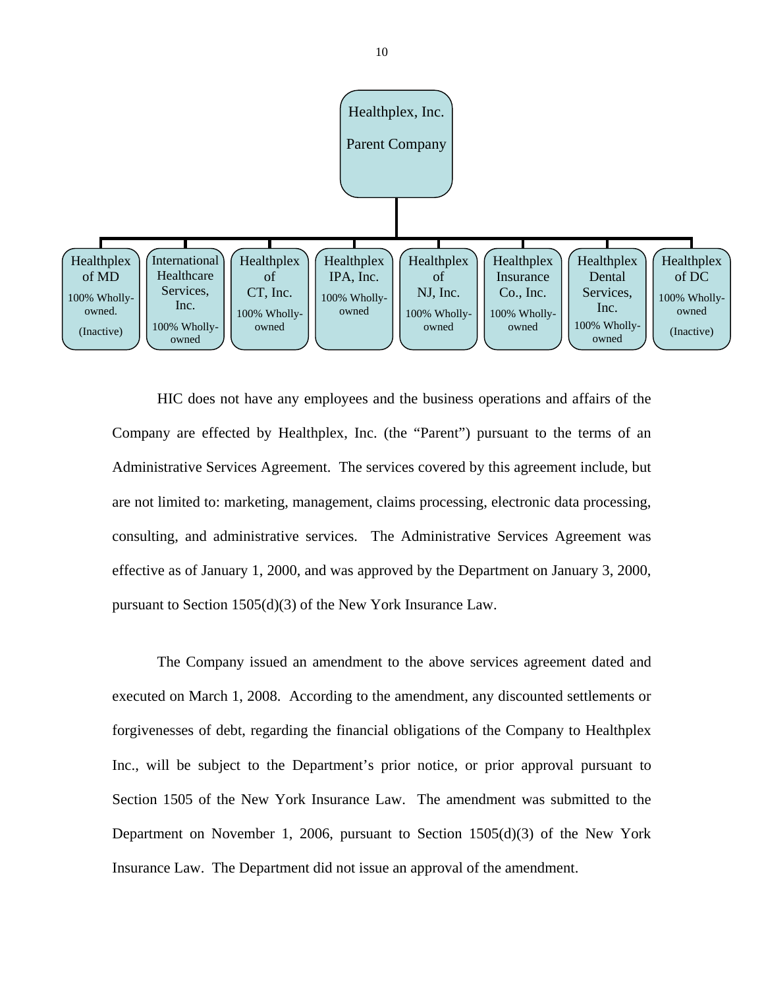

HIC does not have any employees and the business operations and affairs of the Company are effected by Healthplex, Inc. (the "Parent") pursuant to the terms of an Administrative Services Agreement. The services covered by this agreement include, but are not limited to: marketing, management, claims processing, electronic data processing, consulting, and administrative services. The Administrative Services Agreement was effective as of January 1, 2000, and was approved by the Department on January 3, 2000, pursuant to Section 1505(d)(3) of the New York Insurance Law.

The Company issued an amendment to the above services agreement dated and executed on March 1, 2008. According to the amendment, any discounted settlements or forgivenesses of debt, regarding the financial obligations of the Company to Healthplex Inc., will be subject to the Department's prior notice, or prior approval pursuant to Section 1505 of the New York Insurance Law. The amendment was submitted to the Department on November 1, 2006, pursuant to Section 1505(d)(3) of the New York Insurance Law. The Department did not issue an approval of the amendment.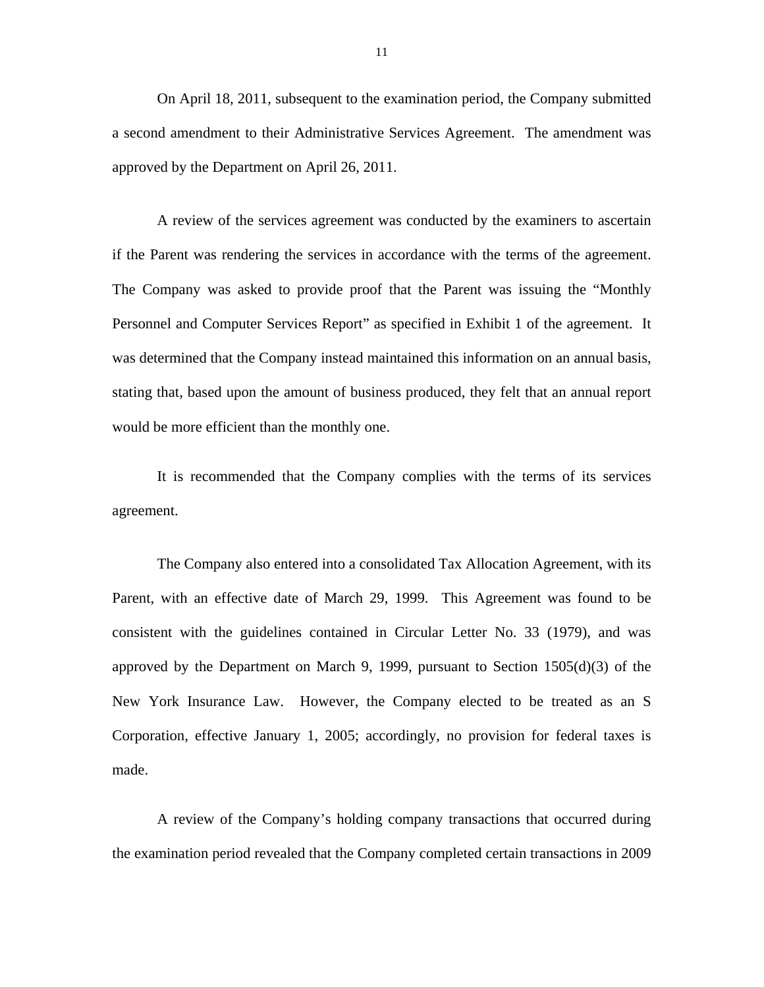On April 18, 2011, subsequent to the examination period, the Company submitted a second amendment to their Administrative Services Agreement. The amendment was approved by the Department on April 26, 2011.

A review of the services agreement was conducted by the examiners to ascertain if the Parent was rendering the services in accordance with the terms of the agreement. The Company was asked to provide proof that the Parent was issuing the "Monthly Personnel and Computer Services Report" as specified in Exhibit 1 of the agreement. It was determined that the Company instead maintained this information on an annual basis, stating that, based upon the amount of business produced, they felt that an annual report would be more efficient than the monthly one.

It is recommended that the Company complies with the terms of its services agreement.

The Company also entered into a consolidated Tax Allocation Agreement, with its Parent, with an effective date of March 29, 1999. This Agreement was found to be consistent with the guidelines contained in Circular Letter No. 33 (1979), and was approved by the Department on March 9, 1999, pursuant to Section 1505(d)(3) of the New York Insurance Law. However, the Company elected to be treated as an S Corporation, effective January 1, 2005; accordingly, no provision for federal taxes is made.

A review of the Company's holding company transactions that occurred during the examination period revealed that the Company completed certain transactions in 2009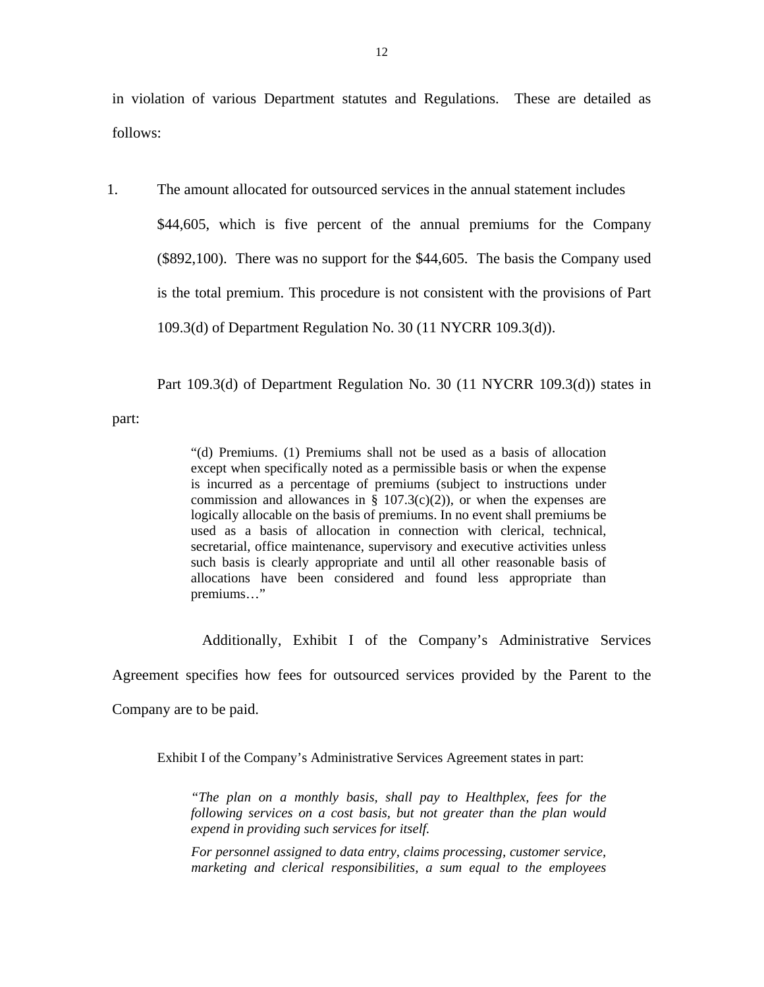in violation of various Department statutes and Regulations. These are detailed as follows:

1. The amount allocated for outsourced services in the annual statement includes \$44,605, which is five percent of the annual premiums for the Company (\$892,100). There was no support for the \$44,605. The basis the Company used is the total premium. This procedure is not consistent with the provisions of Part 109.3(d) of Department Regulation No. 30 (11 NYCRR 109.3(d)).

Part 109.3(d) of Department Regulation No. 30 (11 NYCRR 109.3(d)) states in

part:

"(d) Premiums. (1) Premiums shall not be used as a basis of allocation except when specifically noted as a permissible basis or when the expense is incurred as a percentage of premiums (subject to instructions under commission and allowances in § 107.3(c)(2)), or when the expenses are logically allocable on the basis of premiums. In no event shall premiums be used as a basis of allocation in connection with clerical, technical, secretarial, office maintenance, supervisory and executive activities unless such basis is clearly appropriate and until all other reasonable basis of allocations have been considered and found less appropriate than premiums…"

Additionally, Exhibit I of the Company's Administrative Services

Agreement specifies how fees for outsourced services provided by the Parent to the

Company are to be paid.

Exhibit I of the Company's Administrative Services Agreement states in part:

*"The plan on a monthly basis, shall pay to Healthplex, fees for the following services on a cost basis, but not greater than the plan would expend in providing such services for itself.* 

*For personnel assigned to data entry, claims processing, customer service, marketing and clerical responsibilities, a sum equal to the employees*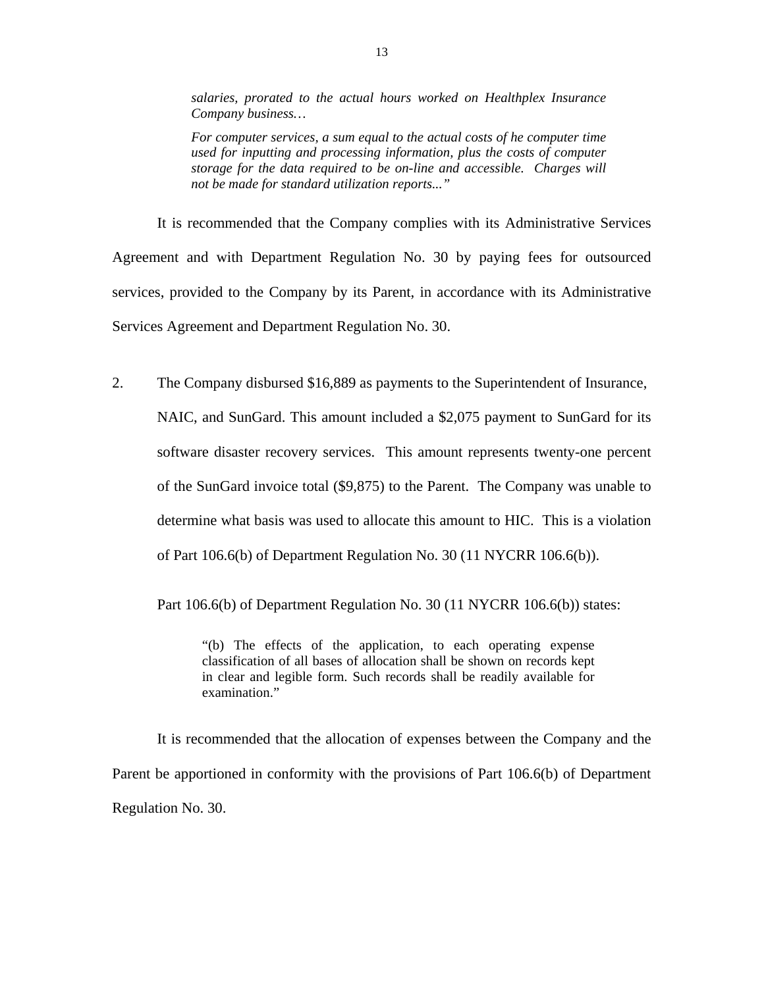*salaries, prorated to the actual hours worked on Healthplex Insurance Company business…* 

*For computer services, a sum equal to the actual costs of he computer time used for inputting and processing information, plus the costs of computer storage for the data required to be on-line and accessible. Charges will not be made for standard utilization reports..."* 

Services Agreement and Department Regulation No. 30. It is recommended that the Company complies with its Administrative Services Agreement and with Department Regulation No. 30 by paying fees for outsourced services, provided to the Company by its Parent, in accordance with its Administrative

2. The Company disbursed \$16,889 as payments to the Superintendent of Insurance, NAIC, and SunGard. This amount included a \$2,075 payment to SunGard for its software disaster recovery services. This amount represents twenty-one percent of the SunGard invoice total (\$9,875) to the Parent. The Company was unable to determine what basis was used to allocate this amount to HIC. This is a violation of Part 106.6(b) of Department Regulation No. 30 (11 NYCRR 106.6(b)).

Part 106.6(b) of Department Regulation No. 30 (11 NYCRR 106.6(b)) states:

examination." "(b) The effects of the application, to each operating expense classification of all bases of allocation shall be shown on records kept in clear and legible form. Such records shall be readily available for

It is recommended that the allocation of expenses between the Company and the Parent be apportioned in conformity with the provisions of Part 106.6(b) of Department Regulation No. 30.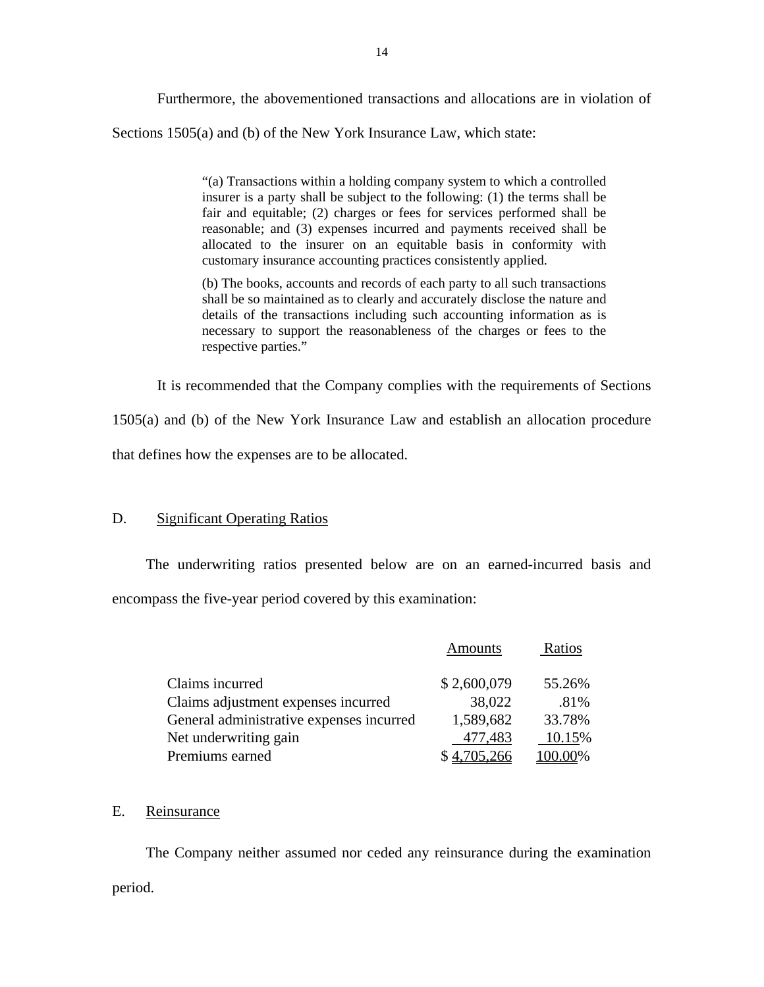Furthermore, the abovementioned transactions and allocations are in violation of Sections 1505(a) and (b) of the New York Insurance Law, which state:

> "(a) Transactions within a holding company system to which a controlled insurer is a party shall be subject to the following: (1) the terms shall be fair and equitable; (2) charges or fees for services performed shall be reasonable; and (3) expenses incurred and payments received shall be allocated to the insurer on an equitable basis in conformity with customary insurance accounting practices consistently applied.

> (b) The books, accounts and records of each party to all such transactions shall be so maintained as to clearly and accurately disclose the nature and details of the transactions including such accounting information as is necessary to support the reasonableness of the charges or fees to the respective parties."

It is recommended that the Company complies with the requirements of Sections

1505(a) and (b) of the New York Insurance Law and establish an allocation procedure

# that defines how the expenses are to be allocated.<br>D. Significant Operating Ratios

The underwriting ratios presented below are on an earned-incurred basis and encompass the five-year period covered by this examination:

|                                          | <b>Amounts</b> | Ratios  |
|------------------------------------------|----------------|---------|
| Claims incurred                          | \$2,600,079    | 55.26%  |
| Claims adjustment expenses incurred      | 38,022         | .81%    |
| General administrative expenses incurred | 1,589,682      | 33.78%  |
| Net underwriting gain                    | 477,483        | 10.15%  |
| Premiums earned                          | \$4,705,266    | 100.00% |

#### E. Reinsurance

 The Company neither assumed nor ceded any reinsurance during the examination period.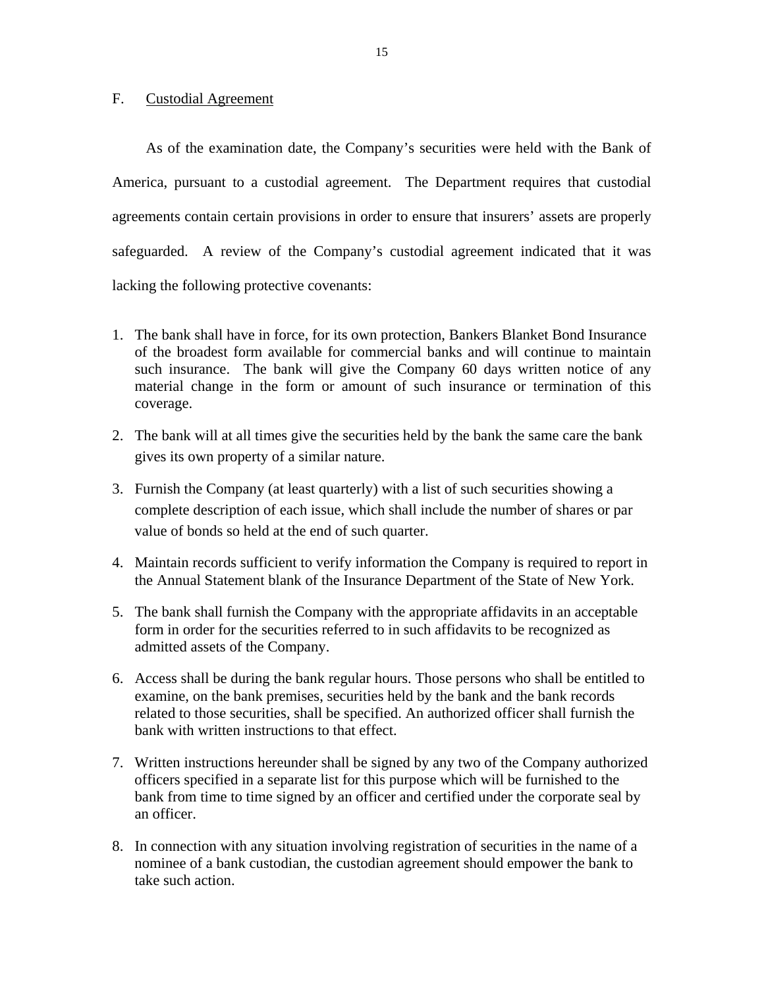#### <span id="page-16-0"></span>F. Custodial Agreement

As of the examination date, the Company's securities were held with the Bank of America, pursuant to a custodial agreement. The Department requires that custodial agreements contain certain provisions in order to ensure that insurers' assets are properly safeguarded. A review of the Company's custodial agreement indicated that it was lacking the following protective covenants:

- 1. The bank shall have in force, for its own protection, Bankers Blanket Bond Insurance of the broadest form available for commercial banks and will continue to maintain such insurance. The bank will give the Company 60 days written notice of any material change in the form or amount of such insurance or termination of this coverage.
- 2. The bank will at all times give the securities held by the bank the same care the bank gives its own property of a similar nature.
- 3. Furnish the Company (at least quarterly) with a list of such securities showing a complete description of each issue, which shall include the number of shares or par value of bonds so held at the end of such quarter.
- 4. Maintain records sufficient to verify information the Company is required to report in the Annual Statement blank of the Insurance Department of the State of New York.
- 5. The bank shall furnish the Company with the appropriate affidavits in an acceptable form in order for the securities referred to in such affidavits to be recognized as admitted assets of the Company.
- 6. Access shall be during the bank regular hours. Those persons who shall be entitled to examine, on the bank premises, securities held by the bank and the bank records related to those securities, shall be specified. An authorized officer shall furnish the bank with written instructions to that effect.
- 7. Written instructions hereunder shall be signed by any two of the Company authorized officers specified in a separate list for this purpose which will be furnished to the bank from time to time signed by an officer and certified under the corporate seal by an officer.
- 8. In connection with any situation involving registration of securities in the name of a nominee of a bank custodian, the custodian agreement should empower the bank to take such action.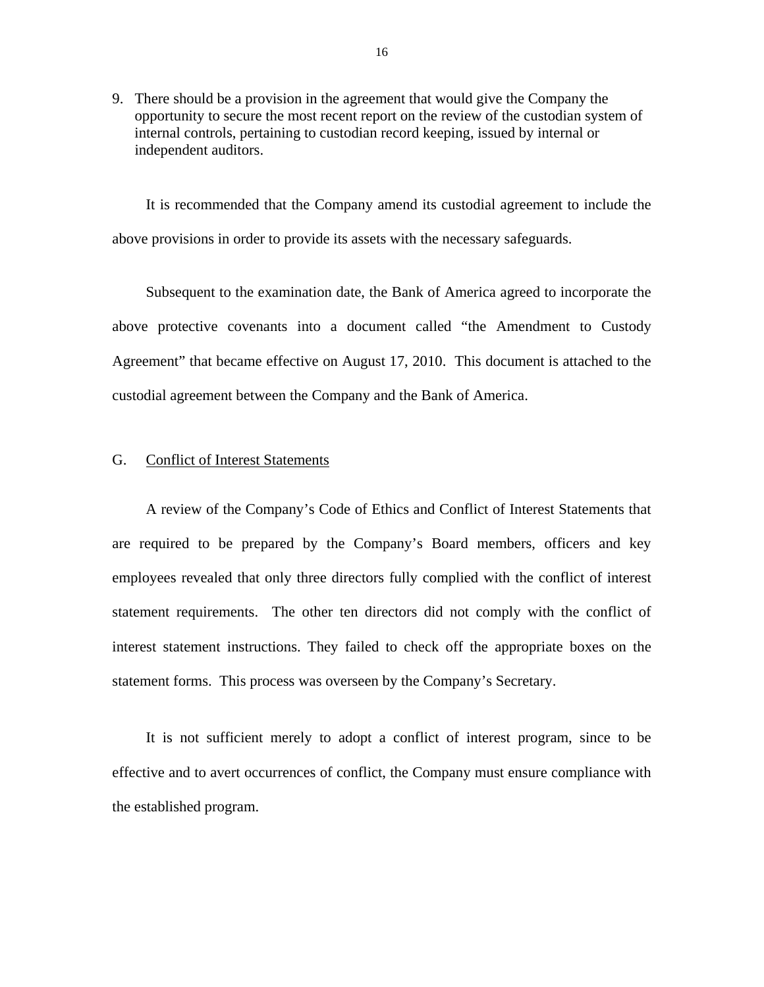<span id="page-17-0"></span>9. There should be a provision in the agreement that would give the Company the opportunity to secure the most recent report on the review of the custodian system of internal controls, pertaining to custodian record keeping, issued by internal or independent auditors.

It is recommended that the Company amend its custodial agreement to include the above provisions in order to provide its assets with the necessary safeguards.

Subsequent to the examination date, the Bank of America agreed to incorporate the above protective covenants into a document called "the Amendment to Custody Agreement" that became effective on August 17, 2010. This document is attached to the custodial agreement between the Company and the Bank of America.

#### G. Conflict of Interest Statements

A review of the Company's Code of Ethics and Conflict of Interest Statements that are required to be prepared by the Company's Board members, officers and key employees revealed that only three directors fully complied with the conflict of interest statement requirements. The other ten directors did not comply with the conflict of interest statement instructions. They failed to check off the appropriate boxes on the statement forms. This process was overseen by the Company's Secretary.

It is not sufficient merely to adopt a conflict of interest program, since to be effective and to avert occurrences of conflict, the Company must ensure compliance with the established program.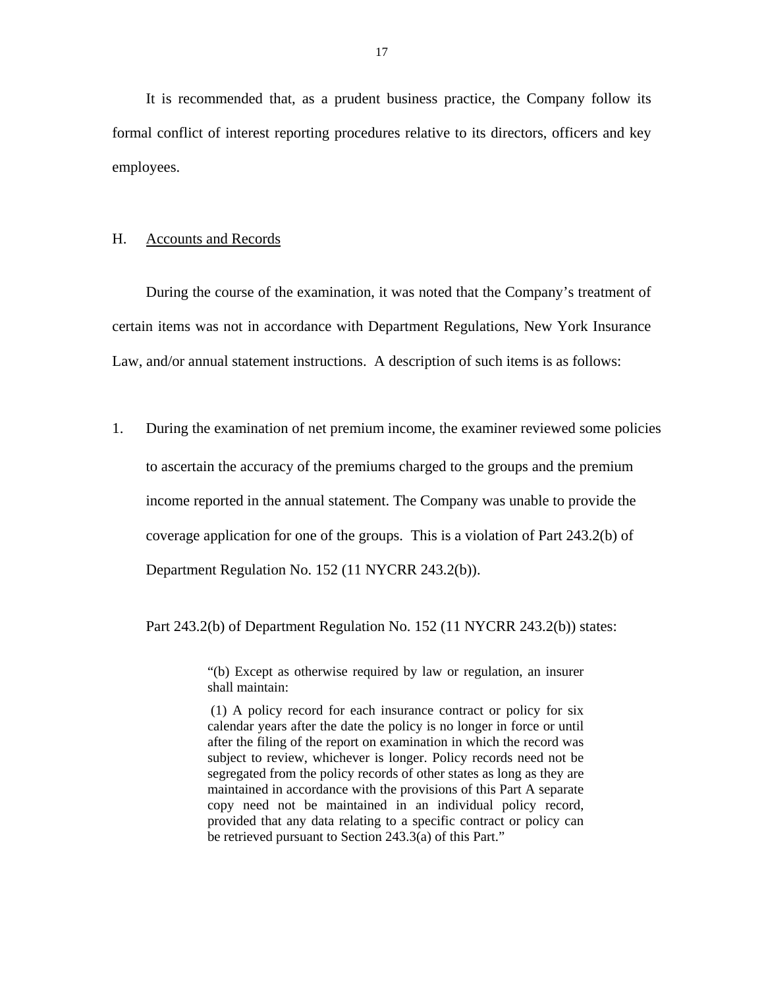<span id="page-18-0"></span>It is recommended that, as a prudent business practice, the Company follow its formal conflict of interest reporting procedures relative to its directors, officers and key employees.

#### H. Accounts and Records

During the course of the examination, it was noted that the Company's treatment of certain items was not in accordance with Department Regulations, New York Insurance Law, and/or annual statement instructions. A description of such items is as follows:

1. During the examination of net premium income, the examiner reviewed some policies to ascertain the accuracy of the premiums charged to the groups and the premium income reported in the annual statement. The Company was unable to provide the coverage application for one of the groups. This is a violation of Part 243.2(b) of Department Regulation No. 152 (11 NYCRR 243.2(b)).

Part 243.2(b) of Department Regulation No. 152 (11 NYCRR 243.2(b)) states:

"(b) Except as otherwise required by law or regulation, an insurer shall maintain:

 be retrieved pursuant to Section 243.3(a) of this Part." (1) A policy record for each insurance contract or policy for six calendar years after the date the policy is no longer in force or until after the filing of the report on examination in which the record was subject to review, whichever is longer. Policy records need not be segregated from the policy records of other states as long as they are maintained in accordance with the provisions of this Part A separate copy need not be maintained in an individual policy record, provided that any data relating to a specific contract or policy can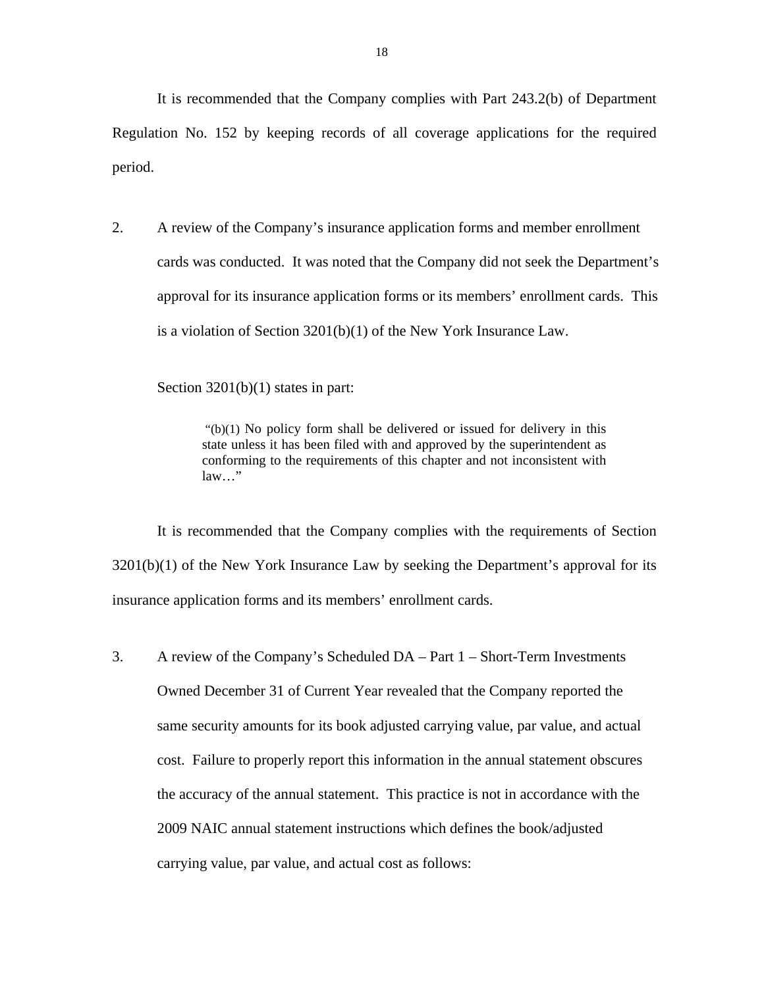It is recommended that the Company complies with Part 243.2(b) of Department Regulation No. 152 by keeping records of all coverage applications for the required period.

2. A review of the Company's insurance application forms and member enrollment cards was conducted. It was noted that the Company did not seek the Department's approval for its insurance application forms or its members' enrollment cards. This is a violation of Section 3201(b)(1) of the New York Insurance Law.

Section 3201(b)(1) states in part:

 "(b)(1) No policy form shall be delivered or issued for delivery in this state unless it has been filed with and approved by the superintendent as conforming to the requirements of this chapter and not inconsistent with law…"

It is recommended that the Company complies with the requirements of Section  $3201(b)(1)$  of the New York Insurance Law by seeking the Department's approval for its insurance application forms and its members' enrollment cards.

3. A review of the Company's Scheduled DA – Part 1 – Short-Term Investments Owned December 31 of Current Year revealed that the Company reported the same security amounts for its book adjusted carrying value, par value, and actual cost. Failure to properly report this information in the annual statement obscures the accuracy of the annual statement. This practice is not in accordance with the 2009 NAIC annual statement instructions which defines the book/adjusted carrying value, par value, and actual cost as follows: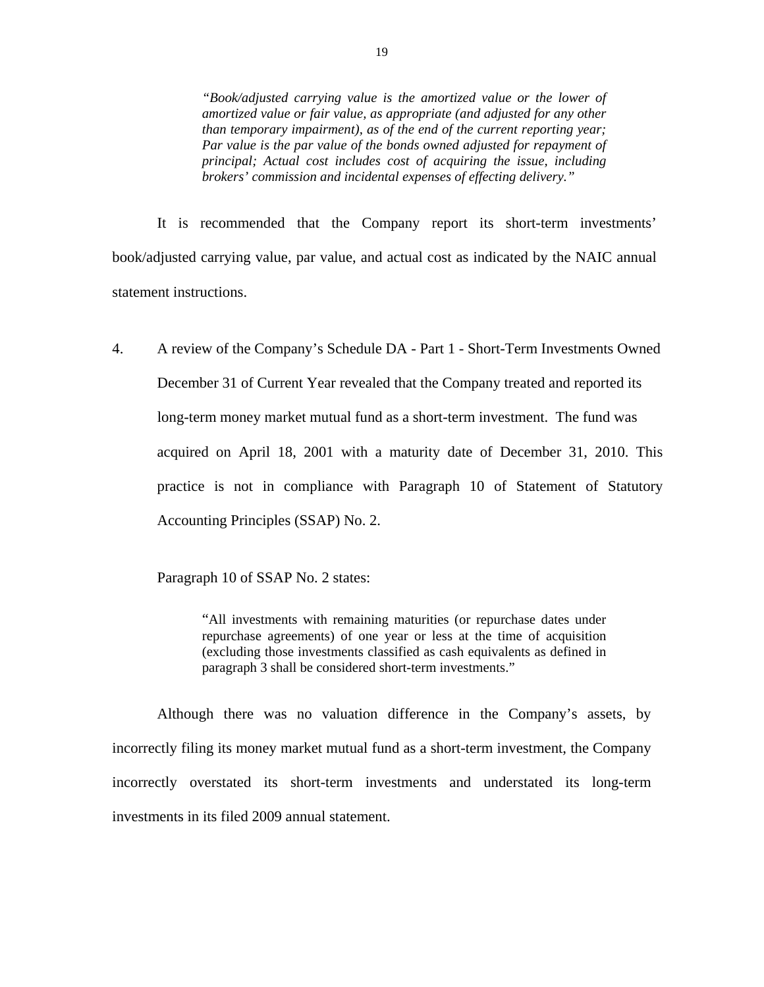*"Book/adjusted carrying value is the amortized value or the lower of amortized value or fair value, as appropriate (and adjusted for any other than temporary impairment), as of the end of the current reporting year; Par value is the par value of the bonds owned adjusted for repayment of principal; Actual cost includes cost of acquiring the issue, including brokers' commission and incidental expenses of effecting delivery."* 

It is recommended that the Company report its short-term investments' book/adjusted carrying value, par value, and actual cost as indicated by the NAIC annual statement instructions.

4. A review of the Company's Schedule DA - Part 1 - Short-Term Investments Owned December 31 of Current Year revealed that the Company treated and reported its long-term money market mutual fund as a short-term investment. The fund was acquired on April 18, 2001 with a maturity date of December 31, 2010. This practice is not in compliance with Paragraph 10 of Statement of Statutory Accounting Principles (SSAP) No. 2.

Paragraph 10 of SSAP No. 2 states:

"All investments with remaining maturities (or repurchase dates under repurchase agreements) of one year or less at the time of acquisition (excluding those investments classified as cash equivalents as defined in paragraph 3 shall be considered short-term investments."

Although there was no valuation difference in the Company's assets, by incorrectly filing its money market mutual fund as a short-term investment, the Company incorrectly overstated its short-term investments and understated its long-term investments in its filed 2009 annual statement.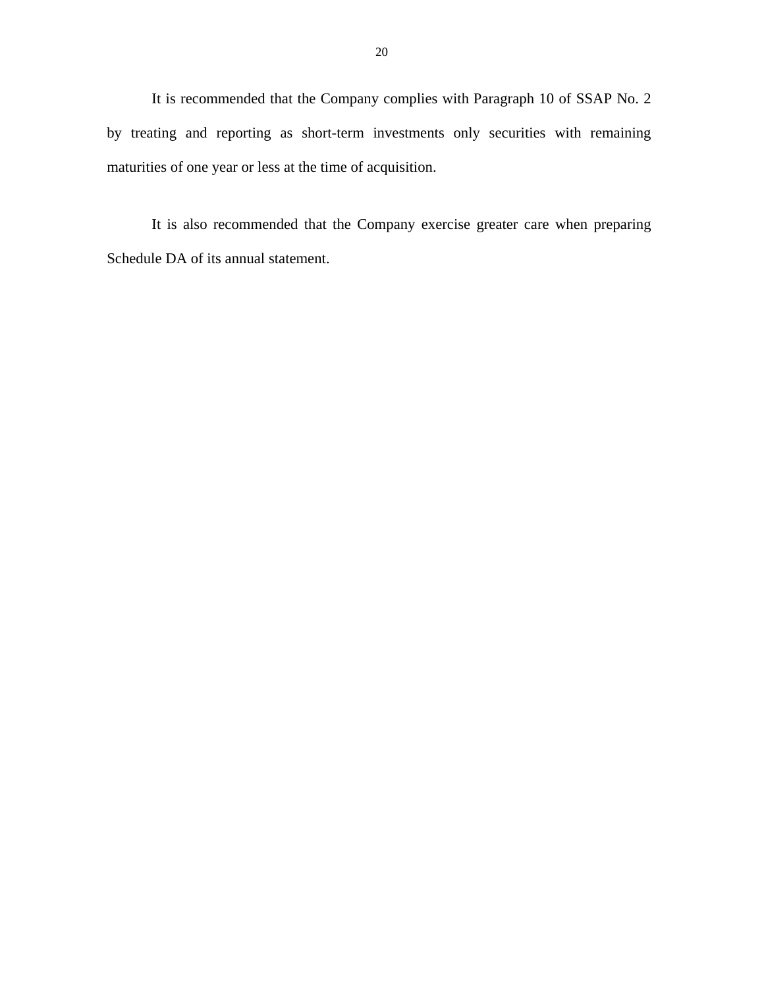maturities of one year or less at the time of acquisition. It is recommended that the Company complies with Paragraph 10 of SSAP No. 2 by treating and reporting as short-term investments only securities with remaining

It is also recommended that the Company exercise greater care when preparing Schedule DA of its annual statement.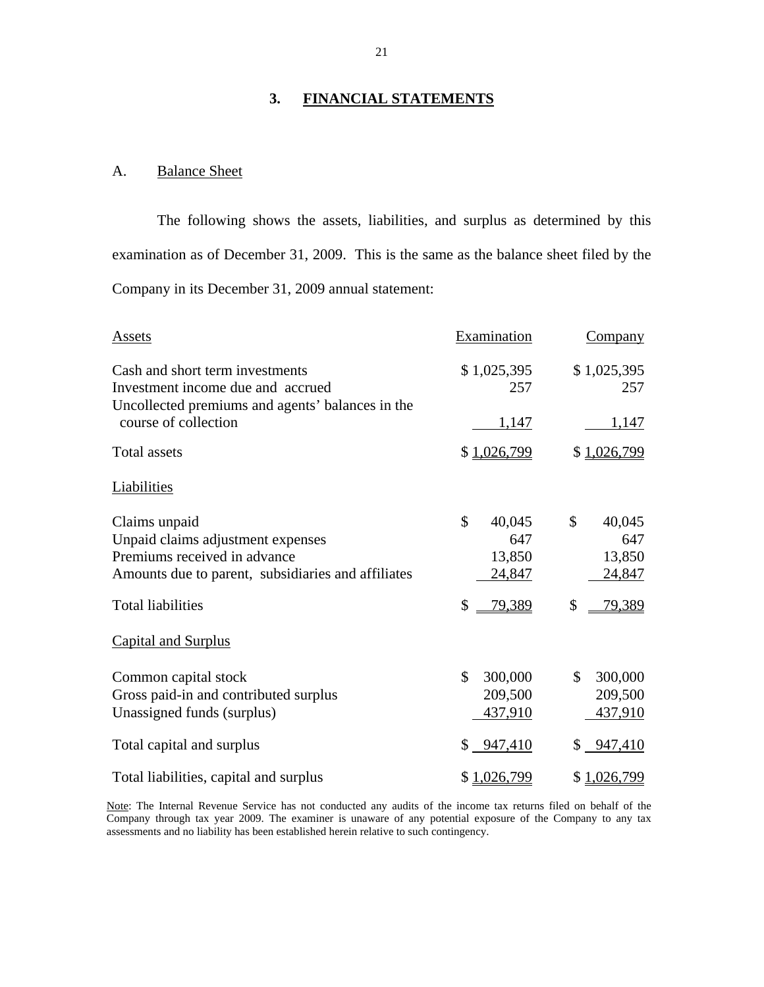#### **3. FINANCIAL STATEMENTS**

#### A. Balance Sheet

The following shows the assets, liabilities, and surplus as determined by this examination as of December 31, 2009. This is the same as the balance sheet filed by the Company in its December 31, 2009 annual statement:

| Assets                                                                                                                                                               | Examination                                             | Company                                                 |
|----------------------------------------------------------------------------------------------------------------------------------------------------------------------|---------------------------------------------------------|---------------------------------------------------------|
| Cash and short term investments<br>Investment income due and accrued                                                                                                 | \$1,025,395<br>257                                      | \$1,025,395<br>257                                      |
| Uncollected premiums and agents' balances in the<br>course of collection                                                                                             | 1,147                                                   | 1,147                                                   |
| <b>Total assets</b>                                                                                                                                                  | \$1,026,799                                             | \$1,026,799                                             |
| Liabilities                                                                                                                                                          |                                                         |                                                         |
| Claims unpaid<br>Unpaid claims adjustment expenses<br>Premiums received in advance<br>Amounts due to parent, subsidiaries and affiliates<br><b>Total liabilities</b> | \$<br>40,045<br>647<br>13,850<br>24,847<br>\$<br>79,389 | \$<br>40,045<br>647<br>13,850<br>24,847<br>\$<br>79,389 |
| <b>Capital and Surplus</b>                                                                                                                                           |                                                         |                                                         |
| Common capital stock<br>Gross paid-in and contributed surplus<br>Unassigned funds (surplus)                                                                          | \$<br>300,000<br>209,500<br>437,910                     | \$<br>300,000<br>209,500<br>437,910                     |
| Total capital and surplus                                                                                                                                            | $$ -947,410$                                            | 947,410<br>\$                                           |
| Total liabilities, capital and surplus                                                                                                                               | \$1,026,799                                             | \$1,026,799                                             |

Note: The Internal Revenue Service has not conducted any audits of the income tax returns filed on behalf of the Company through tax year 2009. The examiner is unaware of any potential exposure of the Company to any tax assessments and no liability has been established herein relative to such contingency.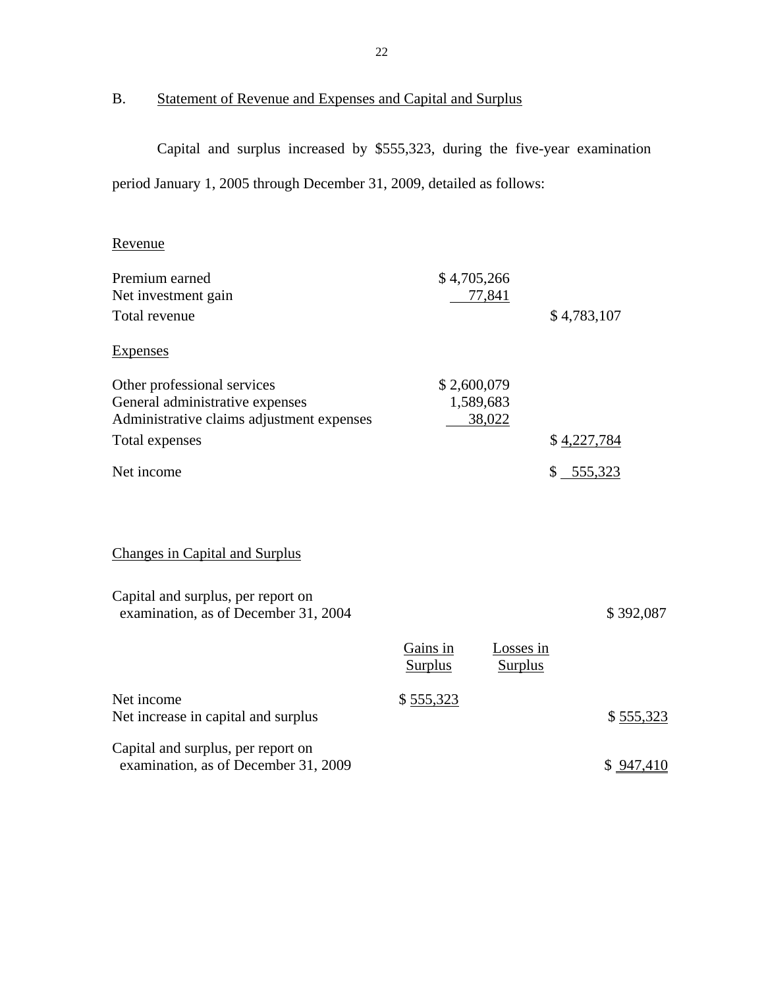## Statement of Revenue and Expenses and Capital and Surplus

B. Statement of Revenue and Expenses and Capital and Surplus<br>Capital and surplus increased by \$555,323, during the five-year examination period January 1, 2005 through December 31, 2009, detailed as follows:

## Revenue

| Premium earned<br>Net investment gain                                                                       | \$4,705,266                | 77,841                      |               |
|-------------------------------------------------------------------------------------------------------------|----------------------------|-----------------------------|---------------|
| Total revenue                                                                                               |                            |                             | \$4,783,107   |
| <b>Expenses</b>                                                                                             |                            |                             |               |
| Other professional services<br>General administrative expenses<br>Administrative claims adjustment expenses | \$2,600,079                | 1,589,683<br>38,022         |               |
| Total expenses                                                                                              |                            |                             | \$4,227,784   |
| Net income                                                                                                  |                            |                             | 555,323<br>\$ |
| <b>Changes in Capital and Surplus</b>                                                                       |                            |                             |               |
| Capital and surplus, per report on<br>examination, as of December 31, 2004                                  |                            |                             | \$392,087     |
|                                                                                                             | Gains in<br><b>Surplus</b> | Losses in<br><b>Surplus</b> |               |
| Net income<br>Net increase in capital and surplus                                                           | \$555,323                  |                             | \$555,323     |
| Capital and surplus, per report on<br>examination, as of December 31, 2009                                  |                            |                             | \$947,410     |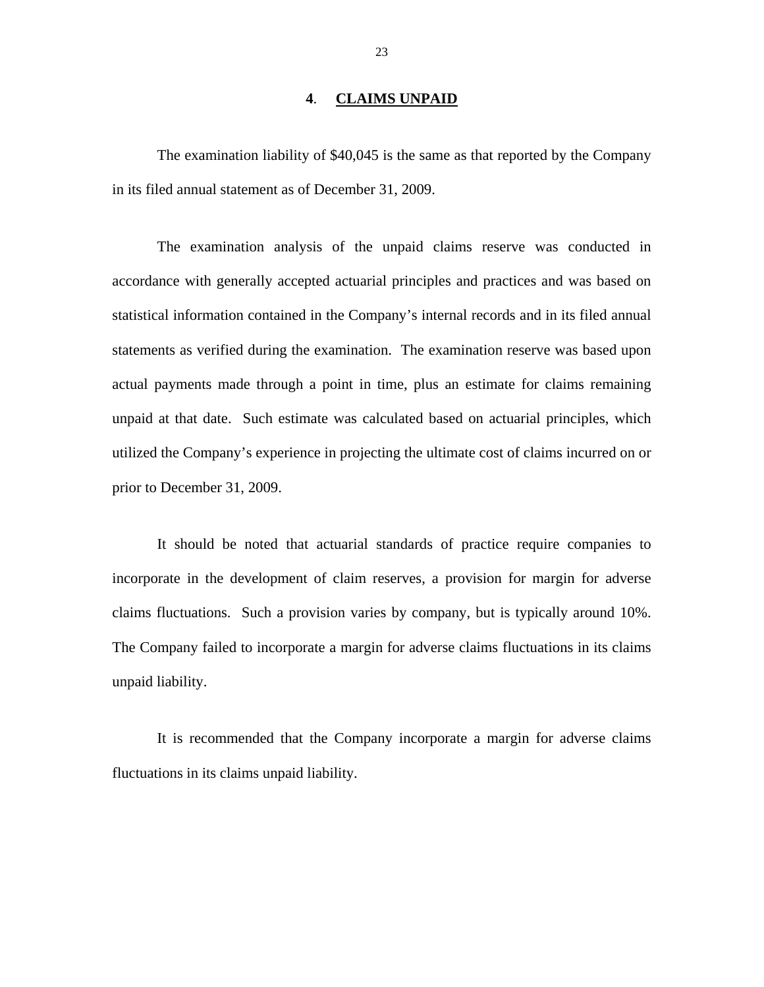#### **4**. **CLAIMS UNPAID**

<span id="page-24-0"></span>The examination liability of \$40,045 is the same as that reported by the Company in its filed annual statement as of December 31, 2009.

The examination analysis of the unpaid claims reserve was conducted in accordance with generally accepted actuarial principles and practices and was based on statistical information contained in the Company's internal records and in its filed annual statements as verified during the examination. The examination reserve was based upon actual payments made through a point in time, plus an estimate for claims remaining unpaid at that date. Such estimate was calculated based on actuarial principles, which utilized the Company's experience in projecting the ultimate cost of claims incurred on or prior to December 31, 2009.

It should be noted that actuarial standards of practice require companies to incorporate in the development of claim reserves, a provision for margin for adverse claims fluctuations. Such a provision varies by company, but is typically around 10%. The Company failed to incorporate a margin for adverse claims fluctuations in its claims unpaid liability.

It is recommended that the Company incorporate a margin for adverse claims fluctuations in its claims unpaid liability.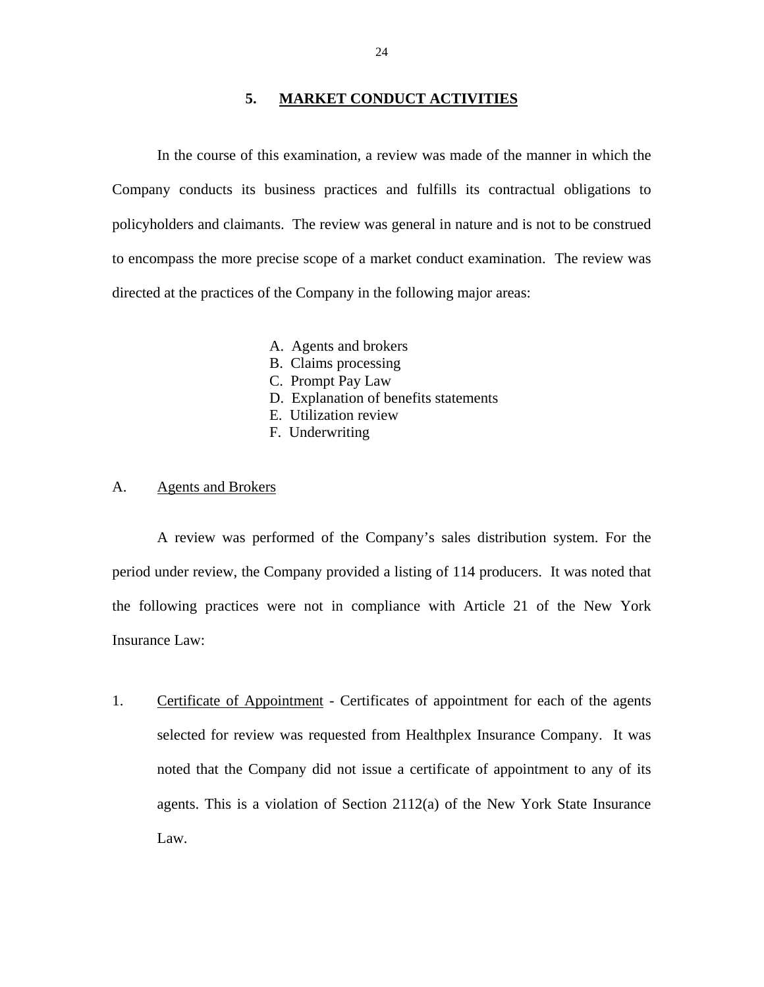#### **5. MARKET CONDUCT ACTIVITIES**

<span id="page-25-0"></span>In the course of this examination, a review was made of the manner in which the Company conducts its business practices and fulfills its contractual obligations to policyholders and claimants. The review was general in nature and is not to be construed to encompass the more precise scope of a market conduct examination. The review was directed at the practices of the Company in the following major areas:

- A. Agents and brokers
- B. Claims processing
- C. Prompt Pay Law
- D. Explanation of benefits statements
- E. Utilization review
- F. Underwriting

#### A. Agents and Brokers

A review was performed of the Company's sales distribution system. For the period under review, the Company provided a listing of 114 producers. It was noted that the following practices were not in compliance with Article 21 of the New York Insurance Law:

1. Certificate of Appointment - Certificates of appointment for each of the agents selected for review was requested from Healthplex Insurance Company. It was noted that the Company did not issue a certificate of appointment to any of its agents. This is a violation of Section 2112(a) of the New York State Insurance Law.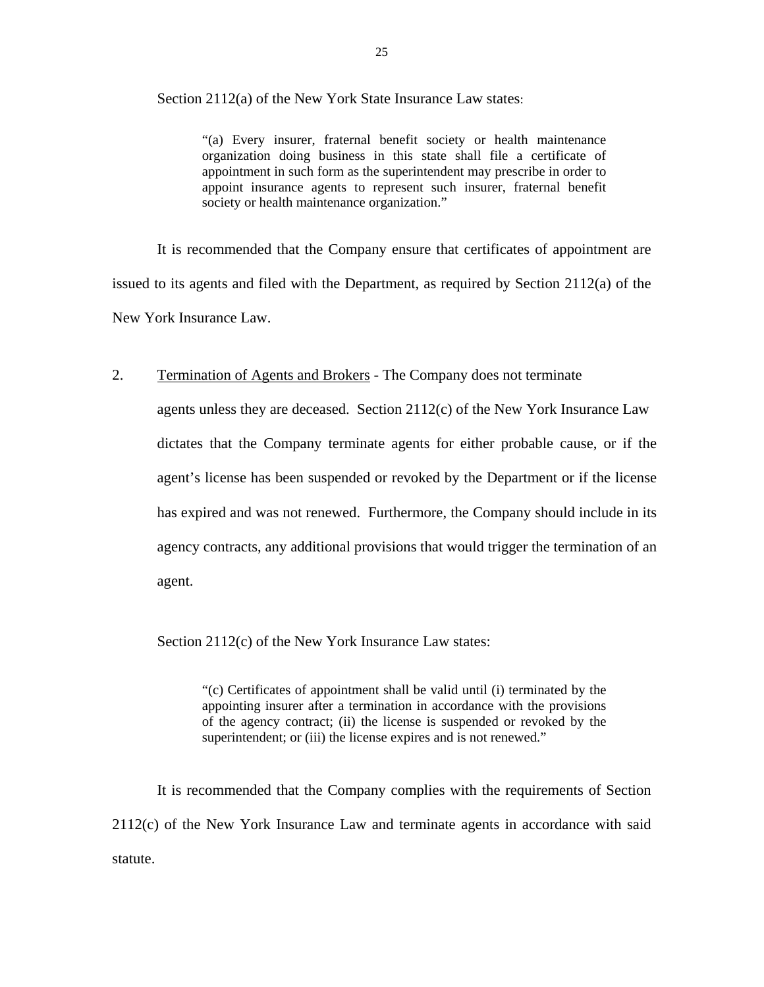Section 2112(a) of the New York State Insurance Law states:

"(a) Every insurer, fraternal benefit society or health maintenance organization doing business in this state shall file a certificate of appointment in such form as the superintendent may prescribe in order to appoint insurance agents to represent such insurer, fraternal benefit society or health maintenance organization."

It is recommended that the Company ensure that certificates of appointment are issued to its agents and filed with the Department, as required by Section 2112(a) of the New York Insurance Law.

#### 2. Termination of Agents and Brokers - The Company does not terminate

 agents unless they are deceased. Section 2112(c) of the New York Insurance Law dictates that the Company terminate agents for either probable cause, or if the agent's license has been suspended or revoked by the Department or if the license has expired and was not renewed. Furthermore, the Company should include in its agency contracts, any additional provisions that would trigger the termination of an agent.

Section 2112(c) of the New York Insurance Law states:

"(c) Certificates of appointment shall be valid until (i) terminated by the appointing insurer after a termination in accordance with the provisions of the agency contract; (ii) the license is suspended or revoked by the superintendent; or (iii) the license expires and is not renewed."

It is recommended that the Company complies with the requirements of Section 2112(c) of the New York Insurance Law and terminate agents in accordance with said statute.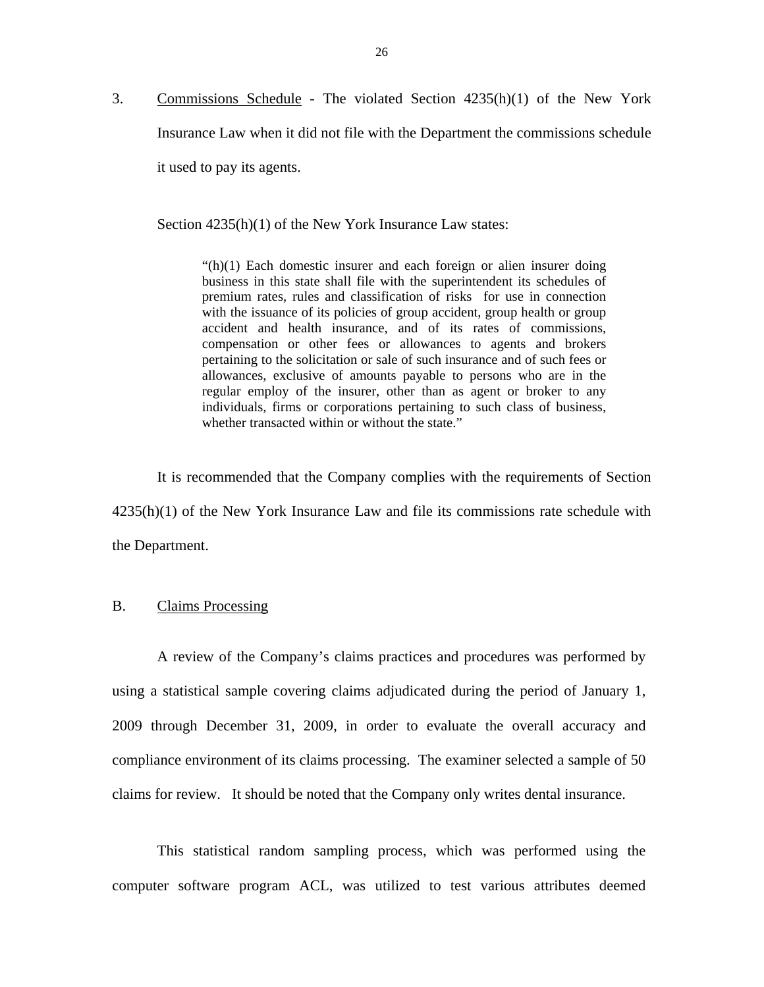<span id="page-27-0"></span>3. Commissions Schedule - The violated Section 4235(h)(1) of the New York Insurance Law when it did not file with the Department the commissions schedule it used to pay its agents.

Section 4235(h)(1) of the New York Insurance Law states:

 $f(h)(1)$  Each domestic insurer and each foreign or alien insurer doing business in this state shall file with the superintendent its schedules of premium rates, rules and classification of risks for use in connection with the issuance of its policies of group accident, group health or group accident and health insurance, and of its rates of commissions, compensation or other fees or allowances to agents and brokers pertaining to the solicitation or sale of such insurance and of such fees or allowances, exclusive of amounts payable to persons who are in the regular employ of the insurer, other than as agent or broker to any individuals, firms or corporations pertaining to such class of business, whether transacted within or without the state."

It is recommended that the Company complies with the requirements of Section 4235(h)(1) of the New York Insurance Law and file its commissions rate schedule with the Department.

#### B. Claims Processing

A review of the Company's claims practices and procedures was performed by using a statistical sample covering claims adjudicated during the period of January 1, 2009 through December 31, 2009, in order to evaluate the overall accuracy and compliance environment of its claims processing. The examiner selected a sample of 50 claims for review. It should be noted that the Company only writes dental insurance.

This statistical random sampling process, which was performed using the computer software program ACL, was utilized to test various attributes deemed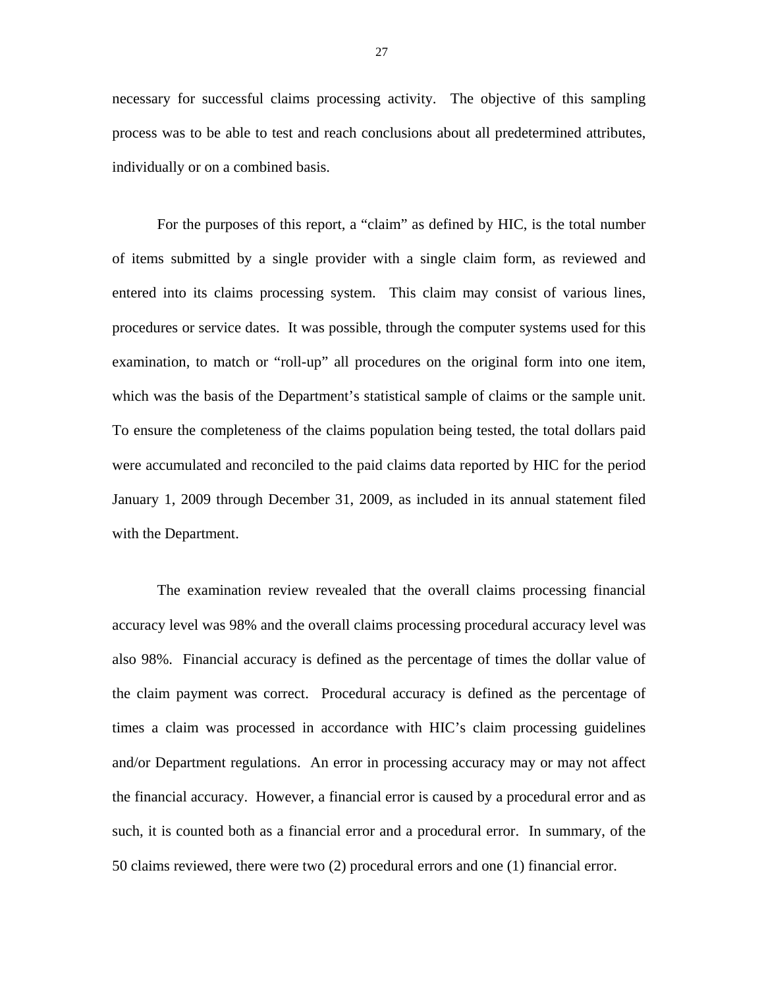necessary for successful claims processing activity. The objective of this sampling process was to be able to test and reach conclusions about all predetermined attributes, individually or on a combined basis.

which was the basis of the Department's statistical sample of claims or the sample unit. For the purposes of this report, a "claim" as defined by HIC, is the total number of items submitted by a single provider with a single claim form, as reviewed and entered into its claims processing system. This claim may consist of various lines, procedures or service dates. It was possible, through the computer systems used for this examination, to match or "roll-up" all procedures on the original form into one item, To ensure the completeness of the claims population being tested, the total dollars paid were accumulated and reconciled to the paid claims data reported by HIC for the period January 1, 2009 through December 31, 2009, as included in its annual statement filed with the Department.

The examination review revealed that the overall claims processing financial accuracy level was 98% and the overall claims processing procedural accuracy level was also 98%. Financial accuracy is defined as the percentage of times the dollar value of the claim payment was correct. Procedural accuracy is defined as the percentage of times a claim was processed in accordance with HIC's claim processing guidelines and/or Department regulations. An error in processing accuracy may or may not affect the financial accuracy. However, a financial error is caused by a procedural error and as such, it is counted both as a financial error and a procedural error. In summary, of the 50 claims reviewed, there were two (2) procedural errors and one (1) financial error.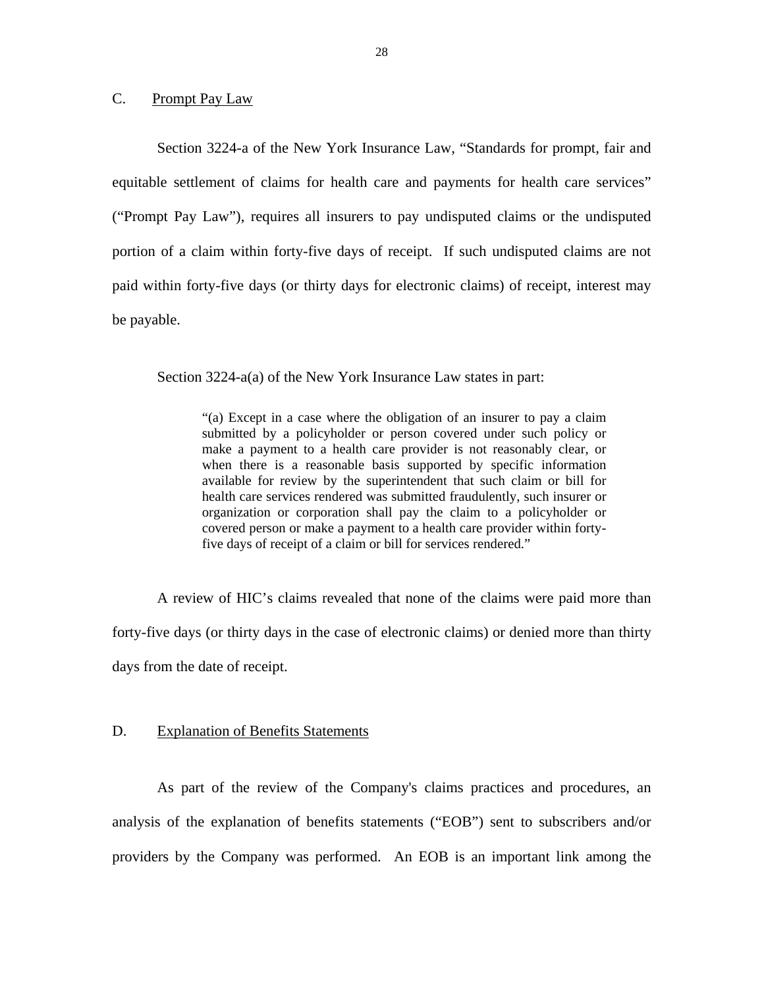#### <span id="page-29-0"></span>C. Prompt Pay Law

Section 3224-a of the New York Insurance Law, "Standards for prompt, fair and equitable settlement of claims for health care and payments for health care services" ("Prompt Pay Law"), requires all insurers to pay undisputed claims or the undisputed portion of a claim within forty-five days of receipt. If such undisputed claims are not paid within forty-five days (or thirty days for electronic claims) of receipt, interest may be payable.

Section 3224-a(a) of the New York Insurance Law states in part:

"(a) Except in a case where the obligation of an insurer to pay a claim submitted by a policyholder or person covered under such policy or make a payment to a health care provider is not reasonably clear, or when there is a reasonable basis supported by specific information available for review by the superintendent that such claim or bill for health care services rendered was submitted fraudulently, such insurer or organization or corporation shall pay the claim to a policyholder or covered person or make a payment to a health care provider within fortyfive days of receipt of a claim or bill for services rendered."

A review of HIC's claims revealed that none of the claims were paid more than forty-five days (or thirty days in the case of electronic claims) or denied more than thirty days from the date of receipt.

#### **Explanation of Benefits Statements**

D. Explanation of Benefits Statements<br>As part of the review of the Company's claims practices and procedures, an analysis of the explanation of benefits statements ("EOB") sent to subscribers and/or providers by the Company was performed. An EOB is an important link among the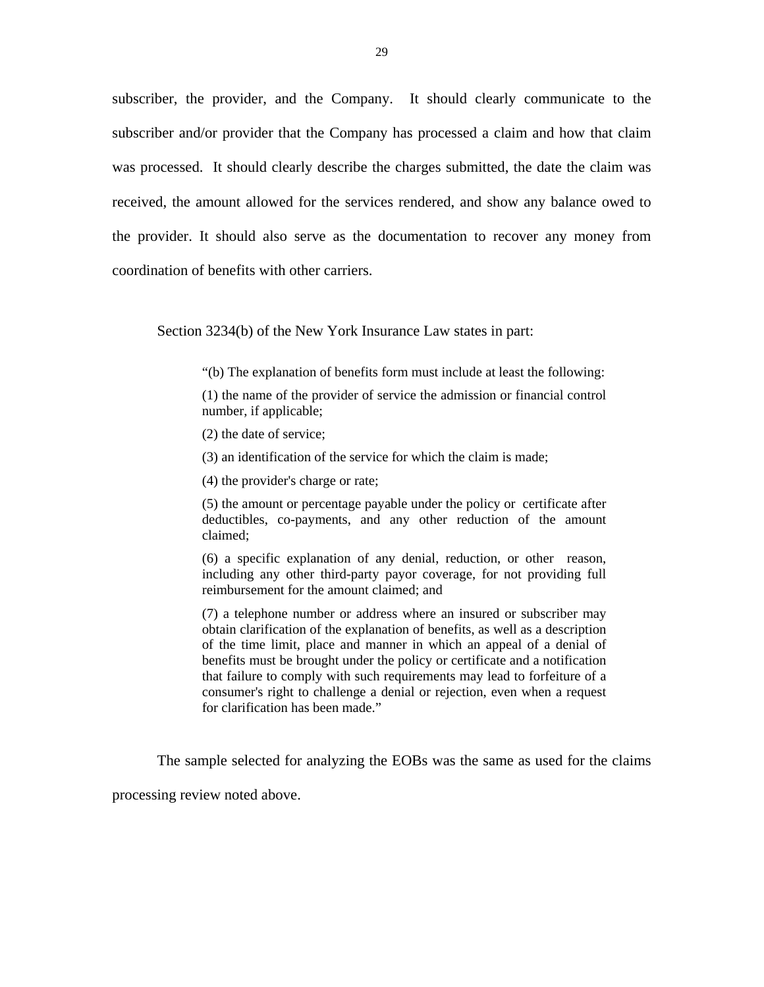subscriber, the provider, and the Company. It should clearly communicate to the subscriber and/or provider that the Company has processed a claim and how that claim was processed. It should clearly describe the charges submitted, the date the claim was received, the amount allowed for the services rendered, and show any balance owed to the provider. It should also serve as the documentation to recover any money from coordination of benefits with other carriers.

Section 3234(b) of the New York Insurance Law states in part:

"(b) The explanation of benefits form must include at least the following:

(1) the name of the provider of service the admission or financial control number, if applicable;

(2) the date of service;

(3) an identification of the service for which the claim is made;

(4) the provider's charge or rate;

(5) the amount or percentage payable under the policy or certificate after deductibles, co-payments, and any other reduction of the amount claimed;

(6) a specific explanation of any denial, reduction, or other reason, including any other third-party payor coverage, for not providing full reimbursement for the amount claimed; and

(7) a telephone number or address where an insured or subscriber may obtain clarification of the explanation of benefits, as well as a description of the time limit, place and manner in which an appeal of a denial of benefits must be brought under the policy or certificate and a notification that failure to comply with such requirements may lead to forfeiture of a consumer's right to challenge a denial or rejection, even when a request for clarification has been made."

The sample selected for analyzing the EOBs was the same as used for the claims

processing review noted above.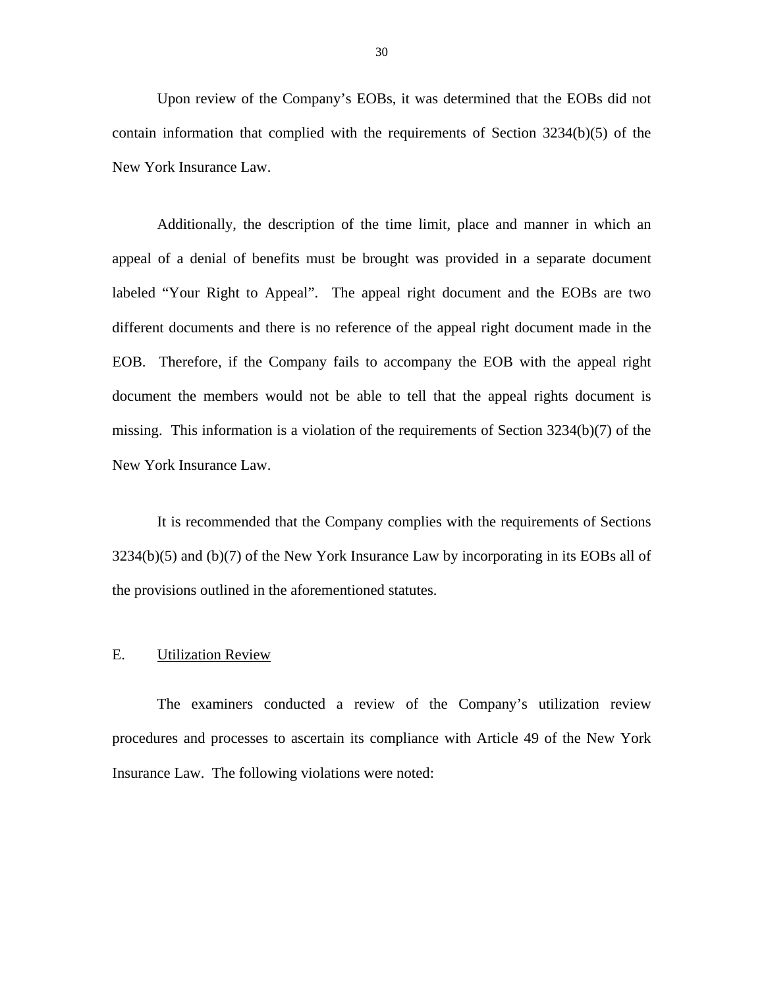<span id="page-31-0"></span>Upon review of the Company's EOBs, it was determined that the EOBs did not contain information that complied with the requirements of Section  $3234(b)(5)$  of the New York Insurance Law.

Additionally, the description of the time limit, place and manner in which an appeal of a denial of benefits must be brought was provided in a separate document labeled "Your Right to Appeal". The appeal right document and the EOBs are two different documents and there is no reference of the appeal right document made in the EOB. Therefore, if the Company fails to accompany the EOB with the appeal right document the members would not be able to tell that the appeal rights document is missing. This information is a violation of the requirements of Section 3234(b)(7) of the New York Insurance Law.

It is recommended that the Company complies with the requirements of Sections 3234(b)(5) and (b)(7) of the New York Insurance Law by incorporating in its EOBs all of the provisions outlined in the aforementioned statutes.

#### **Utilization Review**

E. Utilization Review<br>The examiners conducted a review of the Company's utilization review procedures and processes to ascertain its compliance with Article 49 of the New York Insurance Law. The following violations were noted: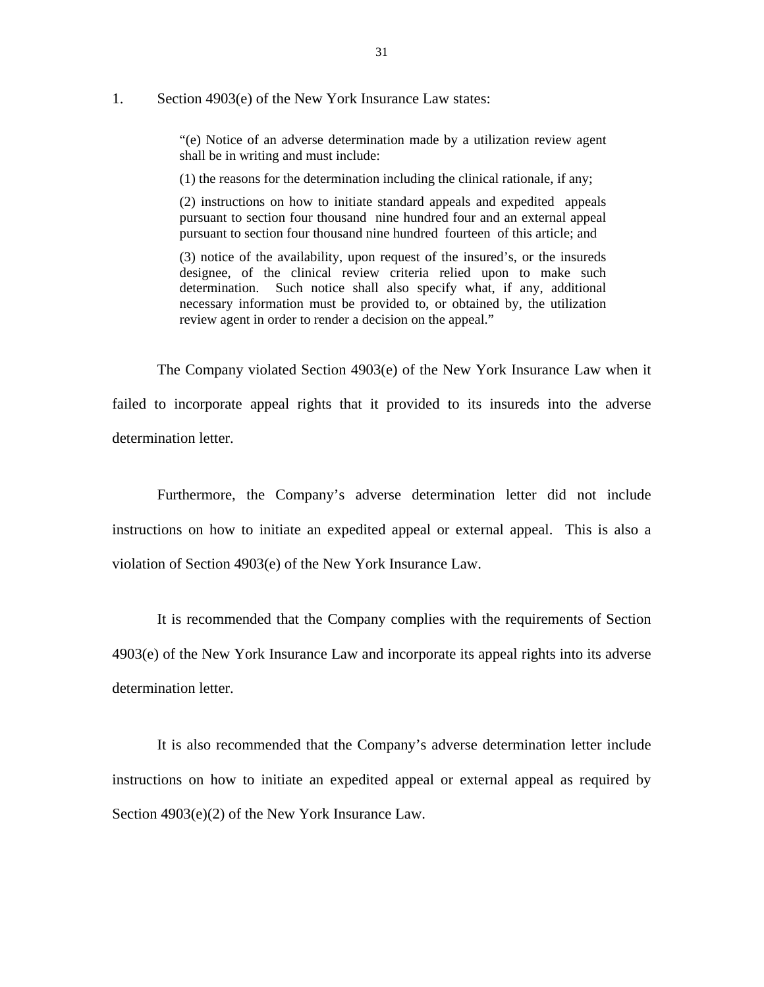#### 1. Section 4903(e) of the New York Insurance Law states:

"(e) Notice of an adverse determination made by a utilization review agent shall be in writing and must include:

(1) the reasons for the determination including the clinical rationale, if any;

(2) instructions on how to initiate standard appeals and expedited appeals pursuant to section four thousand nine hundred four and an external appeal pursuant to section four thousand nine hundred fourteen of this article; and

(3) notice of the availability, upon request of the insured's, or the insureds designee, of the clinical review criteria relied upon to make such determination. Such notice shall also specify what, if any, additional necessary information must be provided to, or obtained by, the utilization review agent in order to render a decision on the appeal."

The Company violated Section 4903(e) of the New York Insurance Law when it failed to incorporate appeal rights that it provided to its insureds into the adverse determination letter.

Furthermore, the Company's adverse determination letter did not include instructions on how to initiate an expedited appeal or external appeal. This is also a violation of Section 4903(e) of the New York Insurance Law.

It is recommended that the Company complies with the requirements of Section 4903(e) of the New York Insurance Law and incorporate its appeal rights into its adverse determination letter.

It is also recommended that the Company's adverse determination letter include instructions on how to initiate an expedited appeal or external appeal as required by Section 4903(e)(2) of the New York Insurance Law.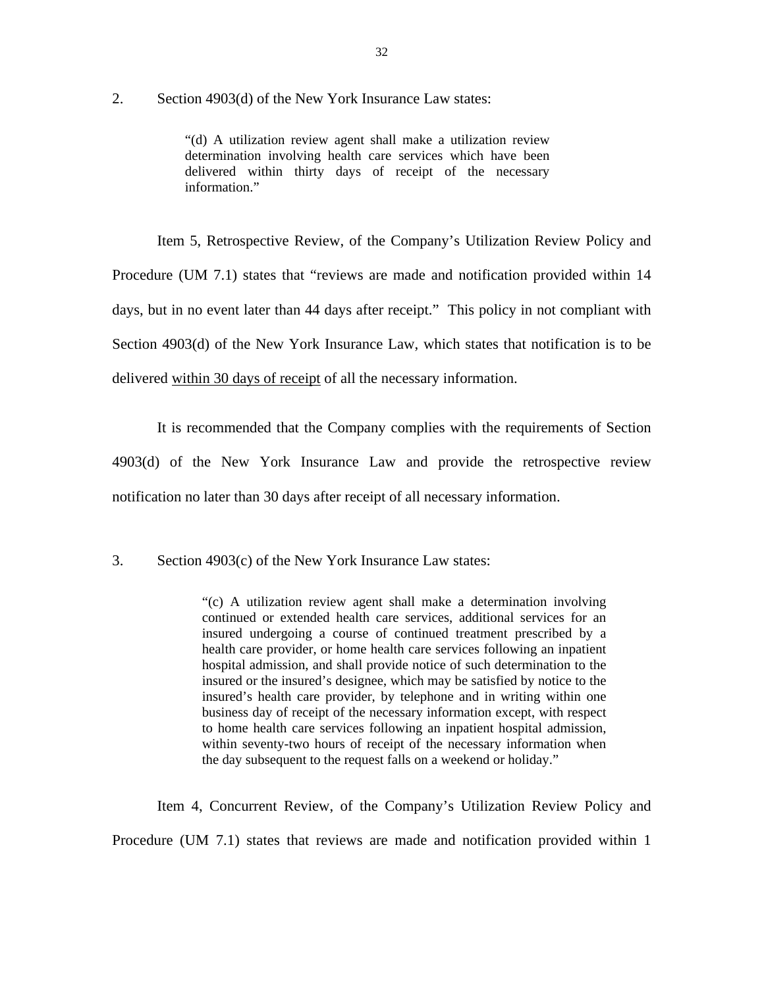2. Section 4903(d) of the New York Insurance Law states:

"(d) A utilization review agent shall make a utilization review determination involving health care services which have been delivered within thirty days of receipt of the necessary information."

Item 5, Retrospective Review, of the Company's Utilization Review Policy and Procedure (UM 7.1) states that "reviews are made and notification provided within 14 days, but in no event later than 44 days after receipt." This policy in not compliant with Section 4903(d) of the New York Insurance Law, which states that notification is to be delivered within 30 days of receipt of all the necessary information.

It is recommended that the Company complies with the requirements of Section 4903(d) of the New York Insurance Law and provide the retrospective review notification no later than 30 days after receipt of all necessary information.

3. Section 4903(c) of the New York Insurance Law states:

 insured undergoing a course of continued treatment prescribed by a "(c) A utilization review agent shall make a determination involving continued or extended health care services, additional services for an health care provider, or home health care services following an inpatient hospital admission, and shall provide notice of such determination to the insured or the insured's designee, which may be satisfied by notice to the insured's health care provider, by telephone and in writing within one business day of receipt of the necessary information except, with respect to home health care services following an inpatient hospital admission, within seventy-two hours of receipt of the necessary information when the day subsequent to the request falls on a weekend or holiday."

Item 4, Concurrent Review, of the Company's Utilization Review Policy and Procedure (UM 7.1) states that reviews are made and notification provided within 1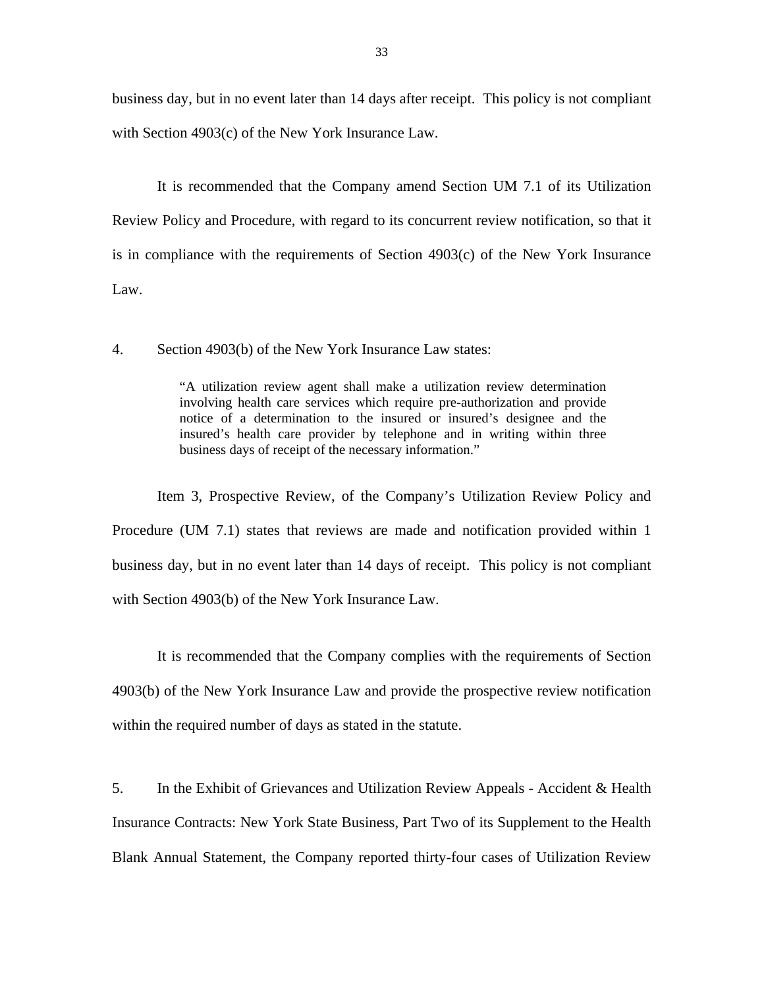business day, but in no event later than 14 days after receipt. This policy is not compliant with Section 4903(c) of the New York Insurance Law.

It is recommended that the Company amend Section UM 7.1 of its Utilization Review Policy and Procedure, with regard to its concurrent review notification, so that it is in compliance with the requirements of Section 4903(c) of the New York Insurance Law.

4. Section 4903(b) of the New York Insurance Law states:

"A utilization review agent shall make a utilization review determination involving health care services which require pre-authorization and provide notice of a determination to the insured or insured's designee and the insured's health care provider by telephone and in writing within three business days of receipt of the necessary information."

Item 3, Prospective Review, of the Company's Utilization Review Policy and Procedure (UM 7.1) states that reviews are made and notification provided within 1 business day, but in no event later than 14 days of receipt. This policy is not compliant with Section 4903(b) of the New York Insurance Law.

It is recommended that the Company complies with the requirements of Section 4903(b) of the New York Insurance Law and provide the prospective review notification within the required number of days as stated in the statute.

5. In the Exhibit of Grievances and Utilization Review Appeals - Accident & Health Insurance Contracts: New York State Business, Part Two of its Supplement to the Health Blank Annual Statement, the Company reported thirty-four cases of Utilization Review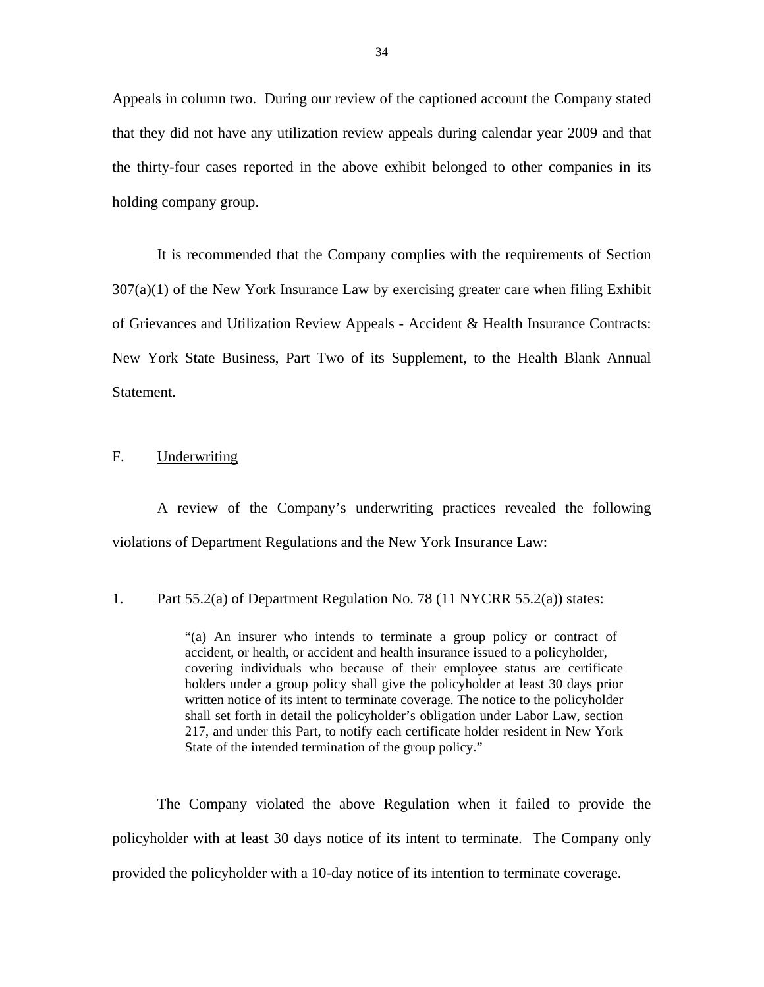<span id="page-35-0"></span>Appeals in column two. During our review of the captioned account the Company stated that they did not have any utilization review appeals during calendar year 2009 and that the thirty-four cases reported in the above exhibit belonged to other companies in its holding company group.

It is recommended that the Company complies with the requirements of Section  $307(a)(1)$  of the New York Insurance Law by exercising greater care when filing Exhibit of Grievances and Utilization Review Appeals - Accident & Health Insurance Contracts: New York State Business, Part Two of its Supplement, to the Health Blank Annual Statement.

#### F. Underwriting

A review of the Company's underwriting practices revealed the following violations of Department Regulations and the New York Insurance Law:

1. Part 55.2(a) of Department Regulation No. 78 (11 NYCRR 55.2(a)) states:

"(a) An insurer who intends to terminate a group policy or contract of accident, or health, or accident and health insurance issued to a policyholder, covering individuals who because of their employee status are certificate holders under a group policy shall give the policyholder at least 30 days prior written notice of its intent to terminate coverage. The notice to the policyholder shall set forth in detail the policyholder's obligation under Labor Law, section 217, and under this Part, to notify each certificate holder resident in New York State of the intended termination of the group policy."

The Company violated the above Regulation when it failed to provide the policyholder with at least 30 days notice of its intent to terminate. The Company only provided the policyholder with a 10-day notice of its intention to terminate coverage.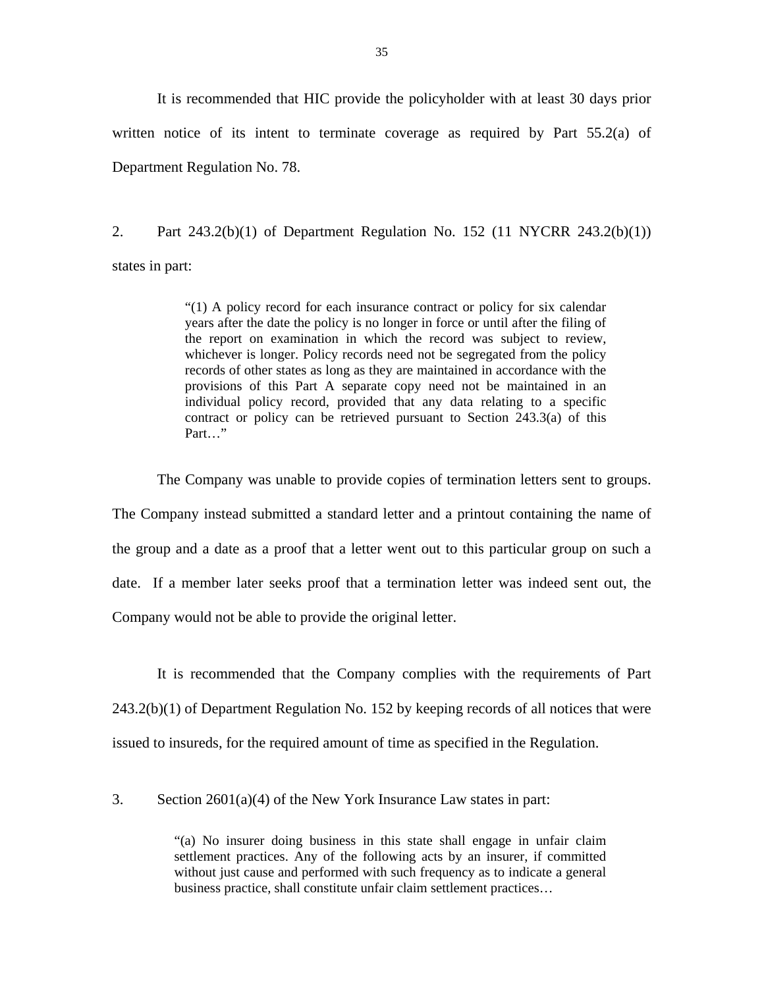It is recommended that HIC provide the policyholder with at least 30 days prior written notice of its intent to terminate coverage as required by Part 55.2(a) of Department Regulation No. 78.

2. Part 243.2(b)(1) of Department Regulation No. 152 (11 NYCRR 243.2(b)(1)) states in part:

> "(1) A policy record for each insurance contract or policy for six calendar years after the date the policy is no longer in force or until after the filing of the report on examination in which the record was subject to review, whichever is longer. Policy records need not be segregated from the policy records of other states as long as they are maintained in accordance with the provisions of this Part A separate copy need not be maintained in an individual policy record, provided that any data relating to a specific contract or policy can be retrieved pursuant to Section 243.3(a) of this Part…"

The Company was unable to provide copies of termination letters sent to groups.

The Company instead submitted a standard letter and a printout containing the name of the group and a date as a proof that a letter went out to this particular group on such a date. If a member later seeks proof that a termination letter was indeed sent out, the Company would not be able to provide the original letter.

It is recommended that the Company complies with the requirements of Part 243.2(b)(1) of Department Regulation No. 152 by keeping records of all notices that were issued to insureds, for the required amount of time as specified in the Regulation.

3. Section 2601(a)(4) of the New York Insurance Law states in part:

"(a) No insurer doing business in this state shall engage in unfair claim settlement practices. Any of the following acts by an insurer, if committed without just cause and performed with such frequency as to indicate a general business practice, shall constitute unfair claim settlement practices…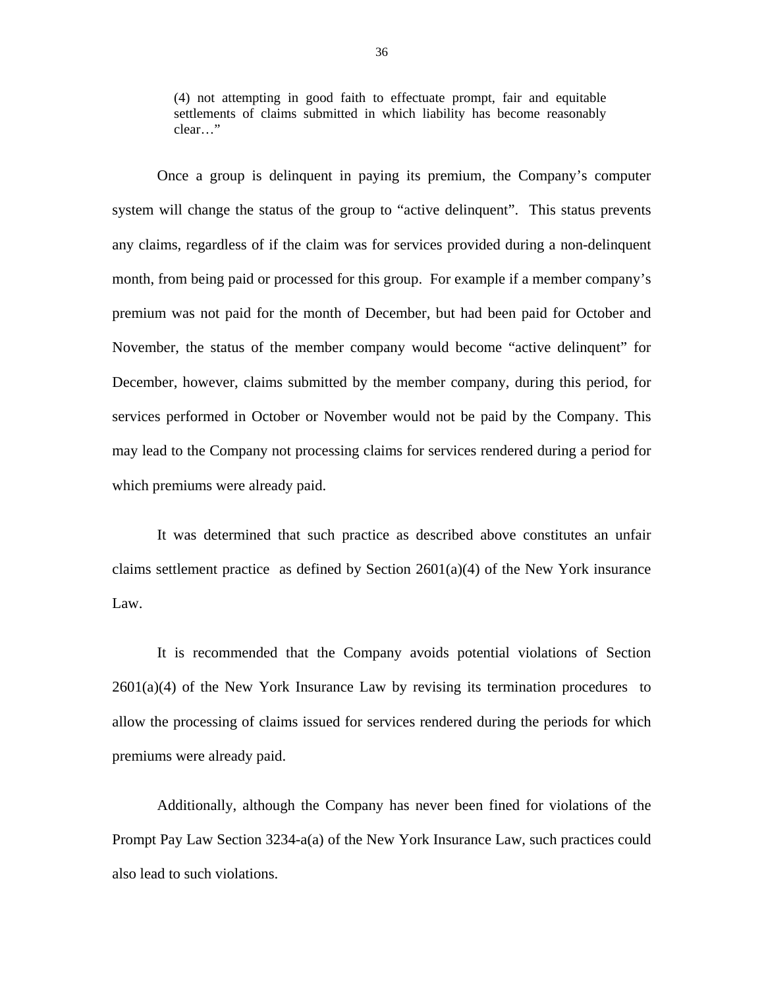settlements of claims submitted in which liability has become reasonably (4) not attempting in good faith to effectuate prompt, fair and equitable clear…"

 system will change the status of the group to "active delinquent". This status prevents Once a group is delinquent in paying its premium, the Company's computer any claims, regardless of if the claim was for services provided during a non-delinquent month, from being paid or processed for this group. For example if a member company's premium was not paid for the month of December, but had been paid for October and November, the status of the member company would become "active delinquent" for December, however, claims submitted by the member company, during this period, for services performed in October or November would not be paid by the Company. This may lead to the Company not processing claims for services rendered during a period for which premiums were already paid.

It was determined that such practice as described above constitutes an unfair claims settlement practice as defined by Section  $2601(a)(4)$  of the New York insurance Law.

It is recommended that the Company avoids potential violations of Section  $2601(a)(4)$  of the New York Insurance Law by revising its termination procedures to allow the processing of claims issued for services rendered during the periods for which premiums were already paid.

Additionally, although the Company has never been fined for violations of the Prompt Pay Law Section 3234-a(a) of the New York Insurance Law, such practices could also lead to such violations.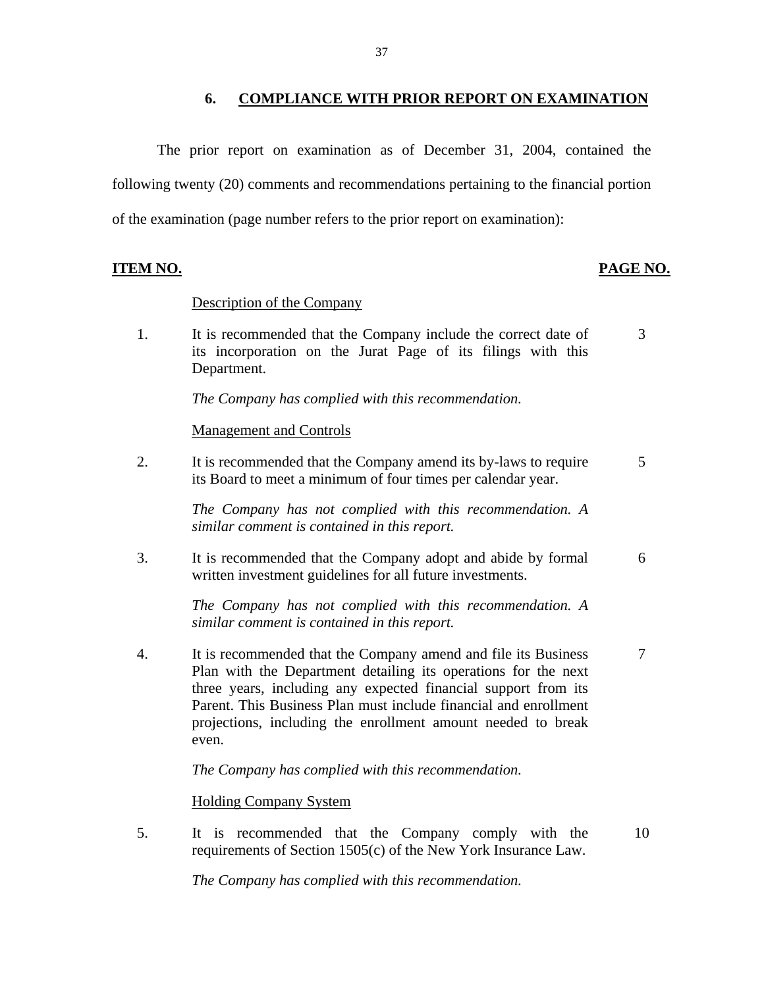#### **6. COMPLIANCE WITH PRIOR REPORT ON EXAMINATION**

<span id="page-38-0"></span>The prior report on examination as of December 31, 2004, contained the following twenty (20) comments and recommendations pertaining to the financial portion of the examination (page number refers to the prior report on examination):

#### **ITEM NO. PAGE NO.**

#### Description of the Company

1. It is recommended that the Company include the correct date of 3 its incorporation on the Jurat Page of its filings with this Department.

*The Company has complied with this recommendation.* 

**Management and Controls** 

2. It is recommended that the Company amend its by-laws to require  $5$ its Board to meet a minimum of four times per calendar year.

> *The Company has not complied with this recommendation. A similar comment is contained in this report.*

3. It is recommended that the Company adopt and abide by formal 6 written investment guidelines for all future investments.

> *The Company has not complied with this recommendation. A similar comment is contained in this report.*

4. It is recommended that the Company amend and file its Business 7 Plan with the Department detailing its operations for the next three years, including any expected financial support from its Parent. This Business Plan must include financial and enrollment projections, including the enrollment amount needed to break even.

*The Company has complied with this recommendation.* 

Holding Company System

5. It is recommended that the Company comply with the 10 requirements of Section 1505(c) of the New York Insurance Law.

*The Company has complied with this recommendation.*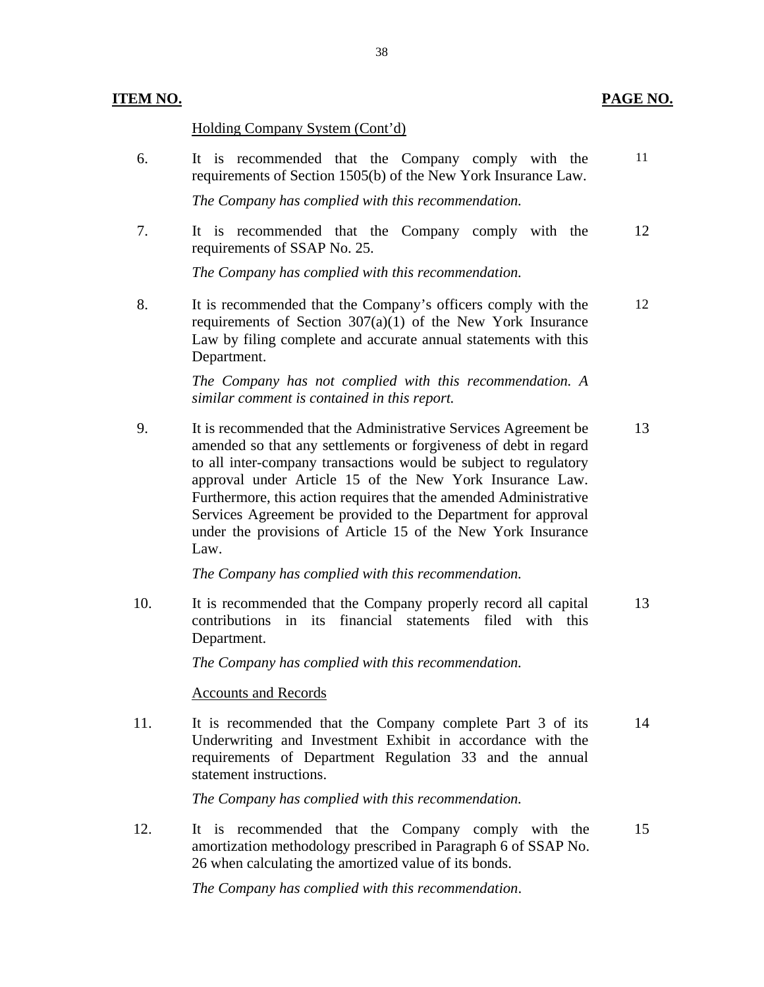#### **ITEM NO. PAGE NO.**

#### Holding Company System (Cont'd)

11 requirements of Section 1505(b) of the New York Insurance Law. 6. It is recommended that the Company comply with the

*The Company has complied with this recommendation.* 

7. It is recommended that the Company comply with the 12 requirements of SSAP No. 25.

*The Company has complied with this recommendation.* 

8. It is recommended that the Company's officers comply with the 12 requirements of Section 307(a)(1) of the New York Insurance Law by filing complete and accurate annual statements with this Department.

> *The Company has not complied with this recommendation. A similar comment is contained in this report.*

 approval under Article 15 of the New York Insurance Law. Furthermore, this action requires that the amended Administrative 9. It is recommended that the Administrative Services Agreement be 13 amended so that any settlements or forgiveness of debt in regard to all inter-company transactions would be subject to regulatory Services Agreement be provided to the Department for approval under the provisions of Article 15 of the New York Insurance Law.

*The Company has complied with this recommendation.* 

10. It is recommended that the Company properly record all capital 13 contributions in its financial statements filed with this Department.

*The Company has complied with this recommendation.* 

#### **Accounts and Records**

11. It is recommended that the Company complete Part 3 of its 14 Underwriting and Investment Exhibit in accordance with the requirements of Department Regulation 33 and the annual statement instructions.

*The Company has complied with this recommendation.* 

12. It is recommended that the Company comply with the 15 amortization methodology prescribed in Paragraph 6 of SSAP No. 26 when calculating the amortized value of its bonds.

*The Company has complied with this recommendation*.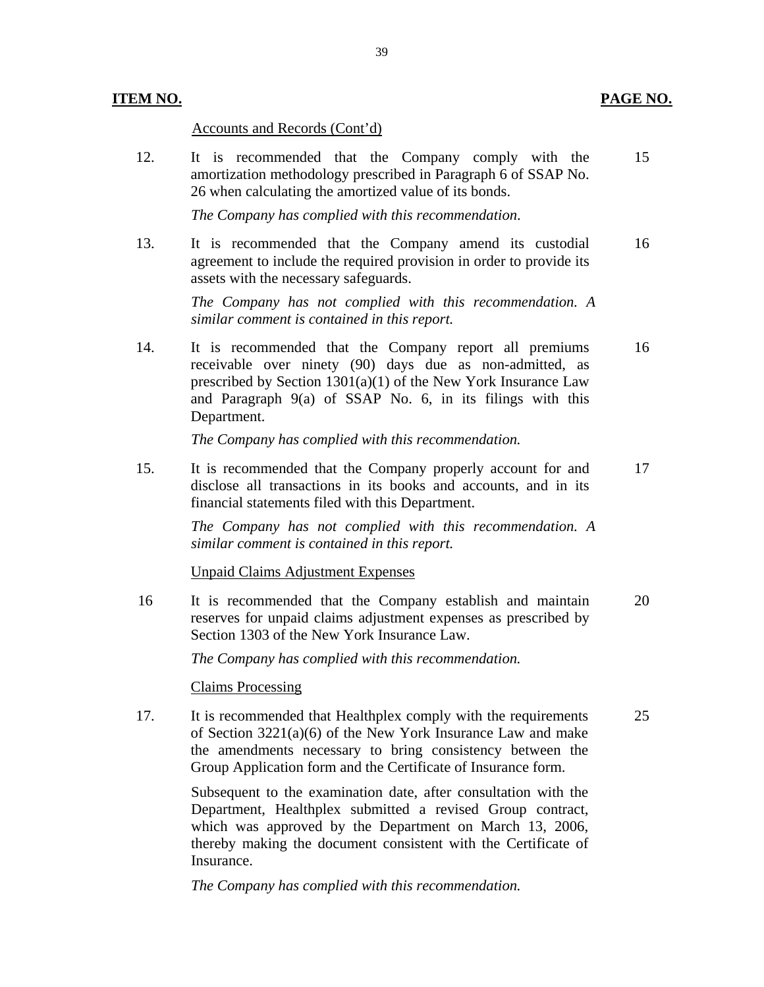#### Accounts and Records (Cont'd)

12. It is recommended that the Company comply with the 15 amortization methodology prescribed in Paragraph 6 of SSAP No. 26 when calculating the amortized value of its bonds.

*The Company has complied with this recommendation*.

13. It is recommended that the Company amend its custodial 16 agreement to include the required provision in order to provide its assets with the necessary safeguards.

> *The Company has not complied with this recommendation. A similar comment is contained in this report.*

14. It is recommended that the Company report all premiums 16 receivable over ninety (90) days due as non-admitted, as prescribed by Section 1301(a)(1) of the New York Insurance Law and Paragraph 9(a) of SSAP No. 6, in its filings with this Department.

*The Company has complied with this recommendation.* 

15. It is recommended that the Company properly account for and 17 disclose all transactions in its books and accounts, and in its financial statements filed with this Department.

> *The Company has not complied with this recommendation. A similar comment is contained in this report.*

**Unpaid Claims Adjustment Expenses** 

16 It is recommended that the Company establish and maintain 20 reserves for unpaid claims adjustment expenses as prescribed by Section 1303 of the New York Insurance Law.

*The Company has complied with this recommendation.* 

**Claims Processing** 

17. It is recommended that Healthplex comply with the requirements 25 of Section 3221(a)(6) of the New York Insurance Law and make the amendments necessary to bring consistency between the Group Application form and the Certificate of Insurance form.

> Subsequent to the examination date, after consultation with the Department, Healthplex submitted a revised Group contract, which was approved by the Department on March 13, 2006, thereby making the document consistent with the Certificate of Insurance.

*The Company has complied with this recommendation.*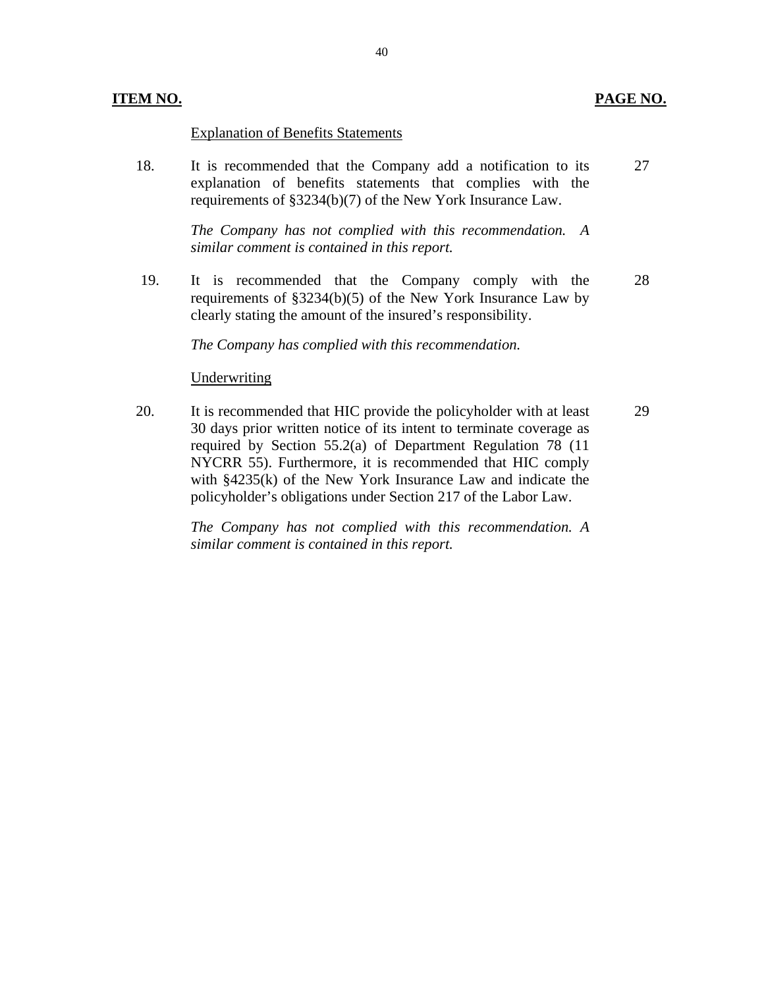#### **ITEM NO. PAGE NO.**

#### Explanation of Benefits Statements

18. It is recommended that the Company add a notification to its explanation of benefits statements that complies with the requirements of §3234(b)(7) of the New York Insurance Law. 27

> *The Company has not complied with this recommendation. A similar comment is contained in this report.*

19. It is recommended that the Company comply with the requirements of §3234(b)(5) of the New York Insurance Law by clearly stating the amount of the insured's responsibility. 28

*The Company has complied with this recommendation.* 

#### Underwriting

20. It is recommended that HIC provide the policyholder with at least 30 days prior written notice of its intent to terminate coverage as required by Section 55.2(a) of Department Regulation 78 (11 NYCRR 55). Furthermore, it is recommended that HIC comply with §4235(k) of the New York Insurance Law and indicate the policyholder's obligations under Section 217 of the Labor Law. 29

> *The Company has not complied with this recommendation. A similar comment is contained in this report.*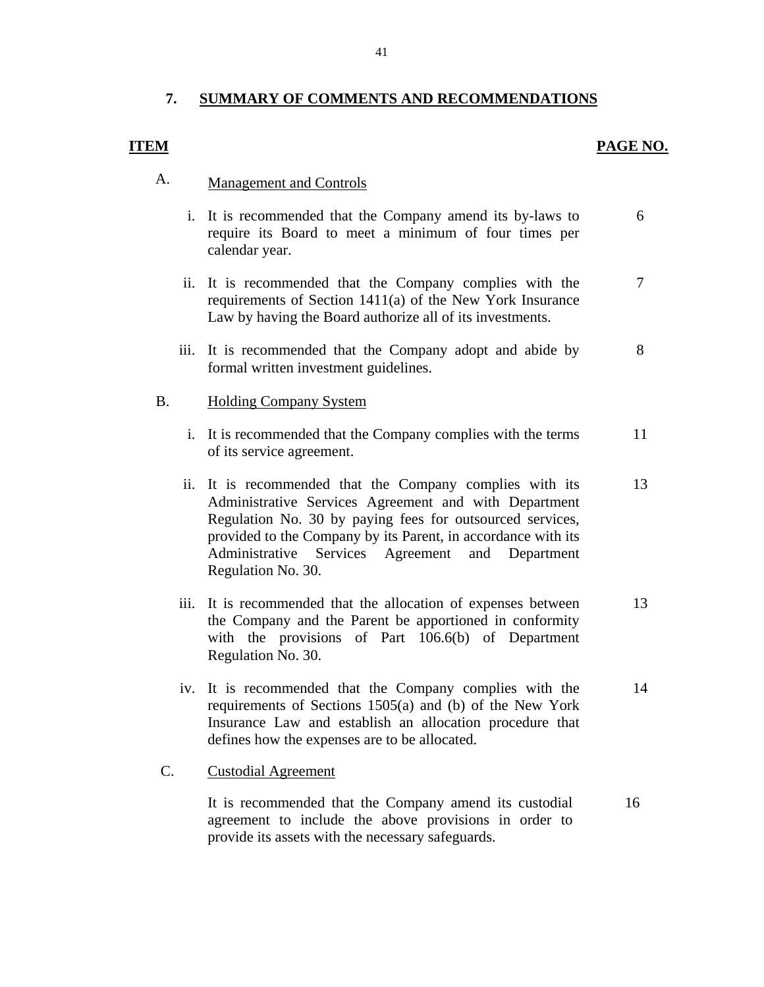#### **7. SUMMARY OF COMMENTS AND RECOMMENDATIONS**

#### **ITEM**

#### PAGE NO.

## A. Management and Controls

- i. It is recommended that the Company amend its by-laws to require its Board to meet a minimum of four times per calendar year. 6
- ii. It is recommended that the Company complies with the requirements of Section 1411(a) of the New York Insurance Law by having the Board authorize all of its investments. 7
- iii. It is recommended that the Company adopt and abide by formal written investment guidelines. 8

#### B. Holding Company System

- i. It is recommended that the Company complies with the terms of its service agreement. 11
- ii. It is recommended that the Company complies with its Administrative Services Agreement and with Department Regulation No. 30 by paying fees for outsourced services, provided to the Company by its Parent, in accordance with its Administrative Services Agreement and Department Regulation No. 30. 13
- iii. It is recommended that the allocation of expenses between the Company and the Parent be apportioned in conformity with the provisions of Part 106.6(b) of Department Regulation No. 30. 13
- iv. It is recommended that the Company complies with the requirements of Sections 1505(a) and (b) of the New York Insurance Law and establish an allocation procedure that defines how the expenses are to be allocated. 14

#### C. Custodial Agreement

It is recommended that the Company amend its custodial agreement to include the above provisions in order to provide its assets with the necessary safeguards. 16

41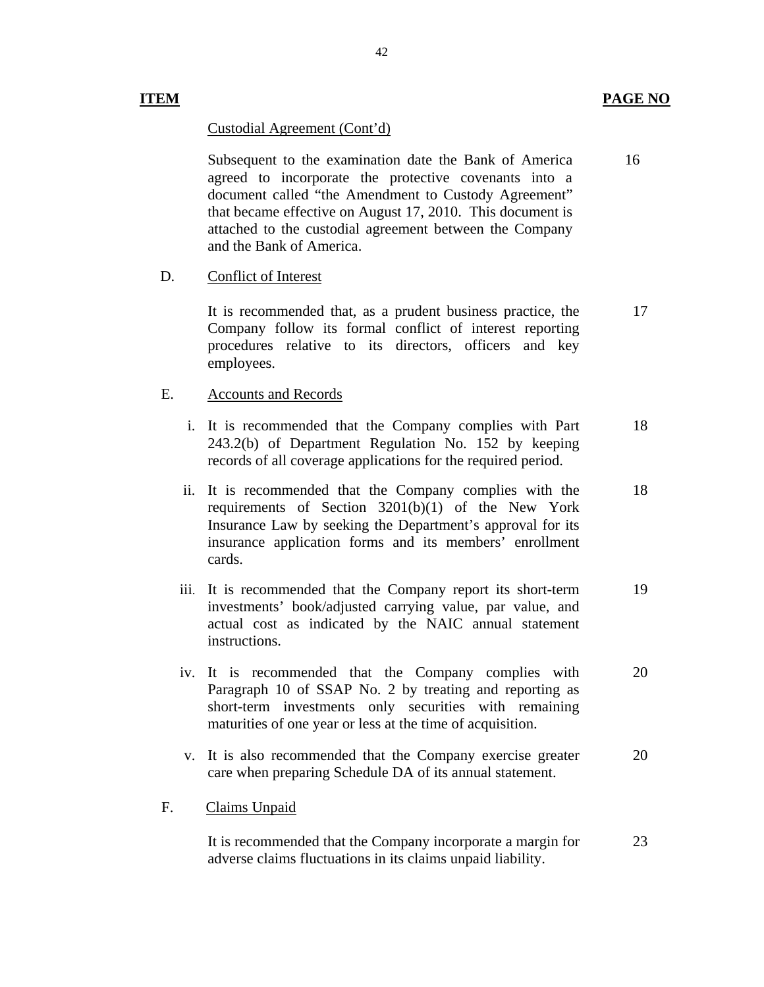#### **ITEM PAGE NO**

#### Custodial Agreement (Cont'd)

Subsequent to the examination date the Bank of America agreed to incorporate the protective covenants into a document called "the Amendment to Custody Agreement" that became effective on August 17, 2010. This document is attached to the custodial agreement between the Company and the Bank of America. 16

#### D. Conflict of Interest

It is recommended that, as a prudent business practice, the Company follow its formal conflict of interest reporting procedures relative to its directors, officers and key employees. 17

#### E. Accounts and Records

- i. It is recommended that the Company complies with Part 243.2(b) of Department Regulation No. 152 by keeping records of all coverage applications for the required period. 18
- ii. It is recommended that the Company complies with the requirements of Section 3201(b)(1) of the New York Insurance Law by seeking the Department's approval for its insurance application forms and its members' enrollment cards. 18
- iii. It is recommended that the Company report its short-term investments' book/adjusted carrying value, par value, and actual cost as indicated by the NAIC annual statement instructions. 19
- iv. It is recommended that the Company complies with Paragraph 10 of SSAP No. 2 by treating and reporting as short-term investments only securities with remaining maturities of one year or less at the time of acquisition. 20
- v. It is also recommended that the Company exercise greater care when preparing Schedule DA of its annual statement. 20

#### Claims Unpaid

F. Claims Unpaid<br>It is recommended that the Company incorporate a margin for adverse claims fluctuations in its claims unpaid liability. 23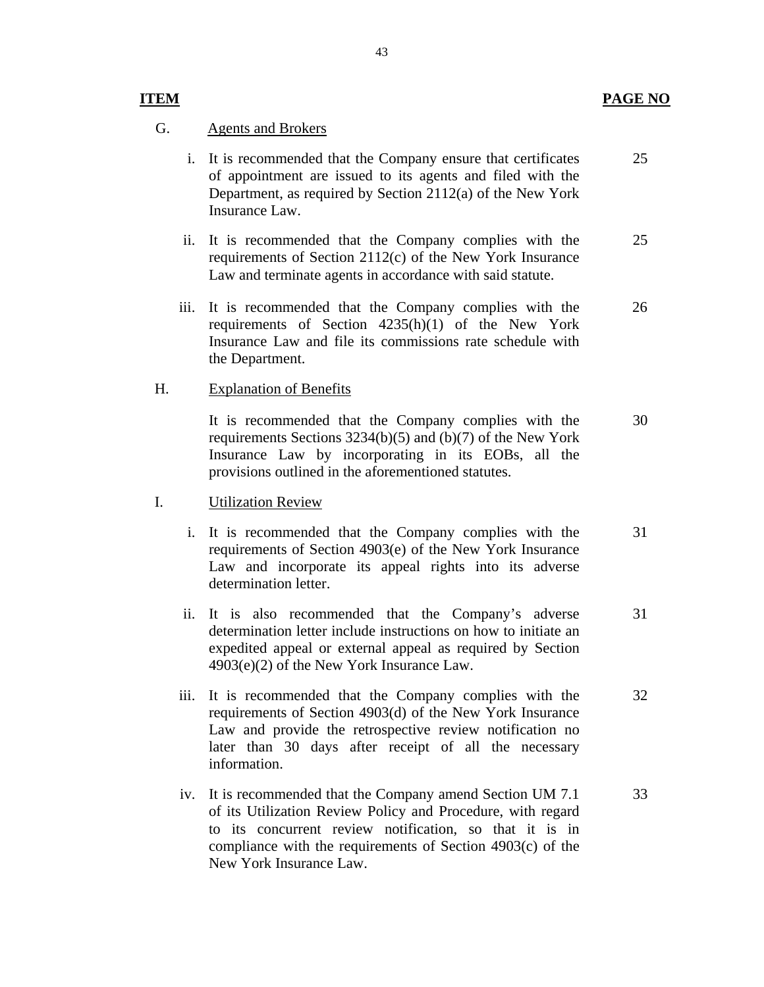#### **ITEM PAGE NO**

25

#### **Agents and Brokers**

- G. Agents and Brokers<br>i. It is recommended that the Company ensure that certificates of appointment are issued to its agents and filed with the Department, as required by Section 2112(a) of the New York Insurance Law.
	- ii. It is recommended that the Company complies with the requirements of Section 2112(c) of the New York Insurance Law and terminate agents in accordance with said statute. 25
	- iii. It is recommended that the Company complies with the requirements of Section 4235(h)(1) of the New York Insurance Law and file its commissions rate schedule with the Department. 26

#### H. Explanation of Benefits

It is recommended that the Company complies with the requirements Sections 3234(b)(5) and (b)(7) of the New York Insurance Law by incorporating in its EOBs, all the provisions outlined in the aforementioned statutes. 30

#### **Utilization Review**

- I. Utilization Review<br>i. It is recommended that the Company complies with the requirements of Section 4903(e) of the New York Insurance Law and incorporate its appeal rights into its adverse determination letter. 31
	- ii. It is also recommended that the Company's adverse determination letter include instructions on how to initiate an expedited appeal or external appeal as required by Section 4903(e)(2) of the New York Insurance Law. 31
	- iii. It is recommended that the Company complies with the requirements of Section 4903(d) of the New York Insurance Law and provide the retrospective review notification no later than 30 days after receipt of all the necessary information. 32
	- iv. It is recommended that the Company amend Section UM 7.1 of its Utilization Review Policy and Procedure, with regard to its concurrent review notification, so that it is in compliance with the requirements of Section 4903(c) of the New York Insurance Law. 33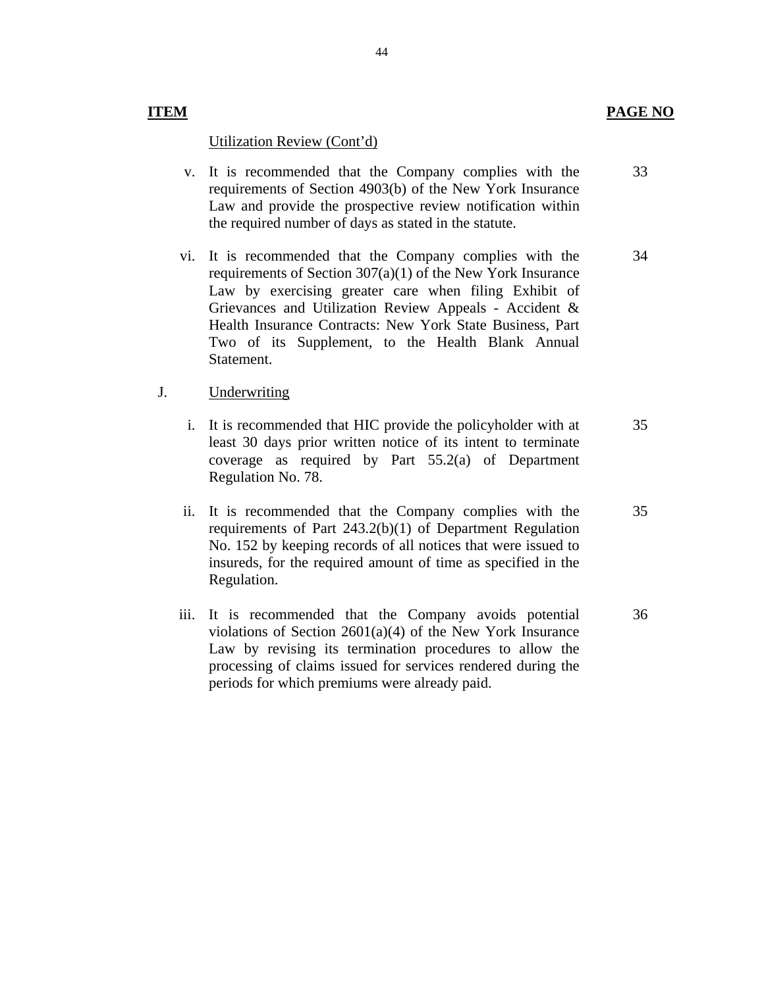#### **ITEM PAGE NO**

#### Utilization Review (Cont'd)

- v. It is recommended that the Company complies with the requirements of Section 4903(b) of the New York Insurance Law and provide the prospective review notification within the required number of days as stated in the statute. 33
- vi. It is recommended that the Company complies with the requirements of Section 307(a)(1) of the New York Insurance Law by exercising greater care when filing Exhibit of Grievances and Utilization Review Appeals - Accident & Health Insurance Contracts: New York State Business, Part Two of its Supplement, to the Health Blank Annual Statement. 34

#### Underwriting

- J. Underwriting<br>i. It is recommended that HIC provide the policyholder with at least 30 days prior written notice of its intent to terminate coverage as required by Part 55.2(a) of Department Regulation No. 78. 35
	- ii. It is recommended that the Company complies with the requirements of Part 243.2(b)(1) of Department Regulation No. 152 by keeping records of all notices that were issued to insureds, for the required amount of time as specified in the Regulation. 35
	- iii. It is recommended that the Company avoids potential violations of Section 2601(a)(4) of the New York Insurance Law by revising its termination procedures to allow the processing of claims issued for services rendered during the periods for which premiums were already paid. 36

44